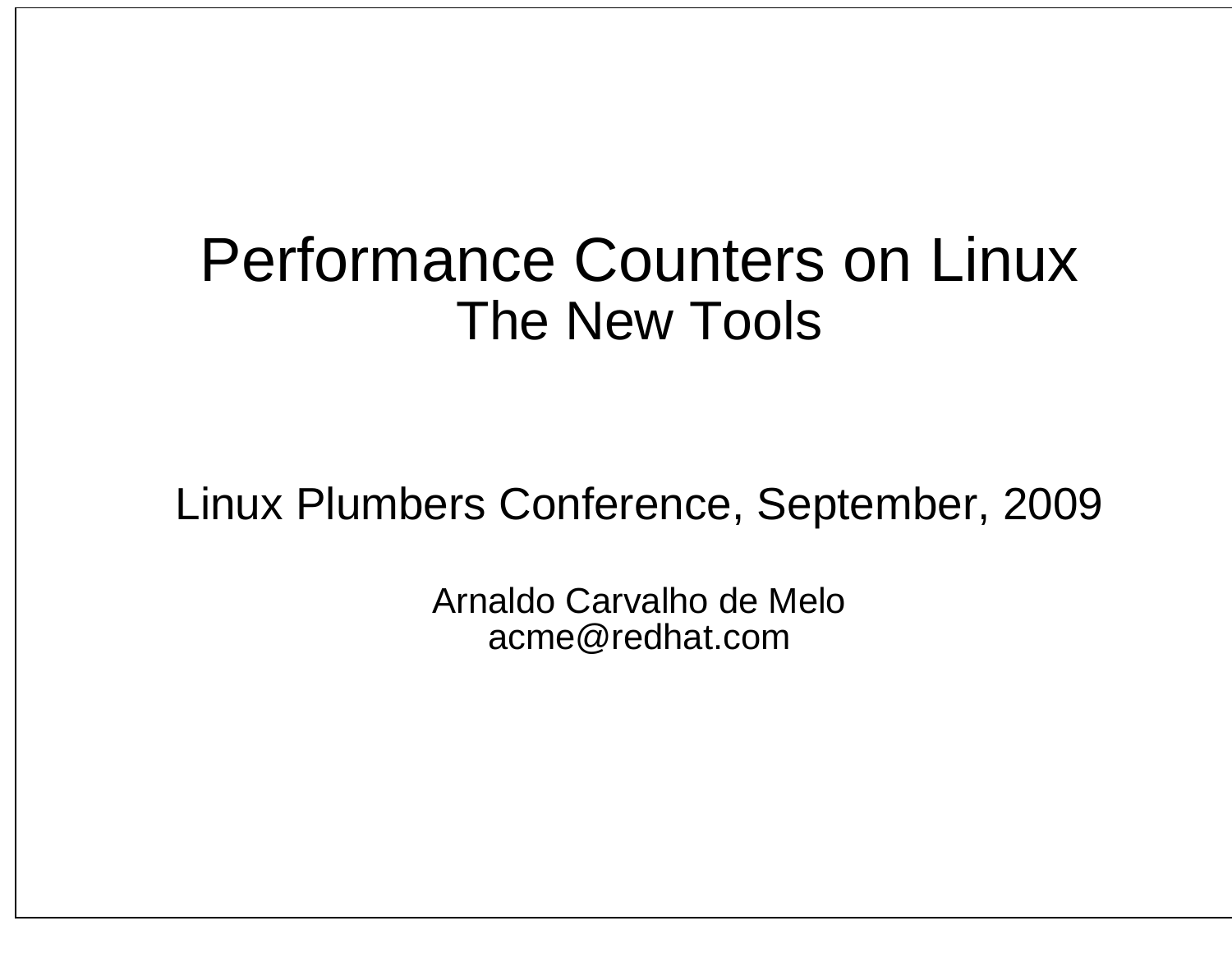# Performance Counters on LinuxThe New Tools

### Linux Plumbers Conference, September, 2009

Arnaldo Carvalho de Meloacme@redhat.com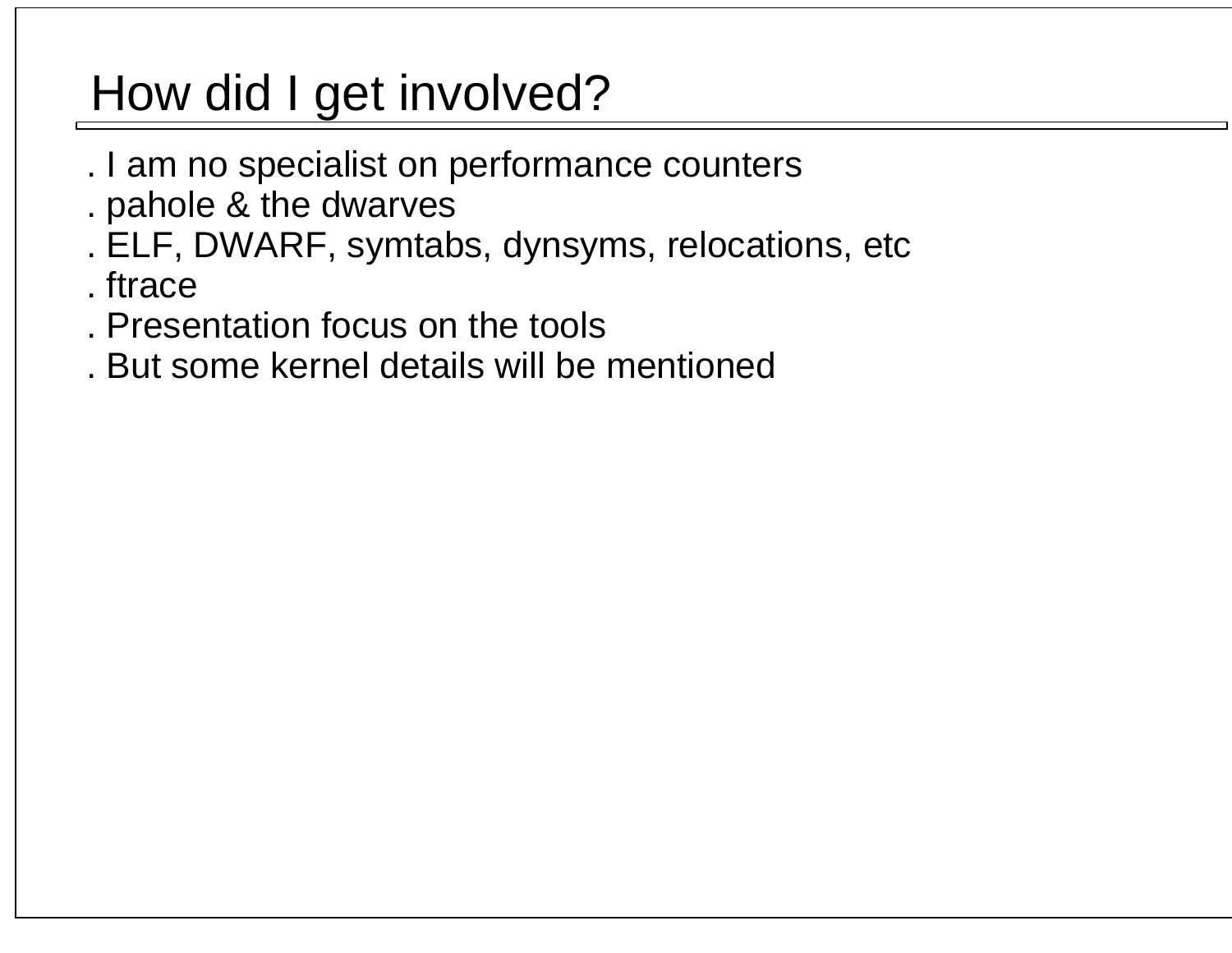## How did I get involved?

- . I am no specialist on performance counters
- . pahole & the dwarves
- . ELF, DWARF, symtabs, dynsyms, relocations, etc
- . ftrace
- . Presentation focus on the tools
- . But some kernel details will be mentioned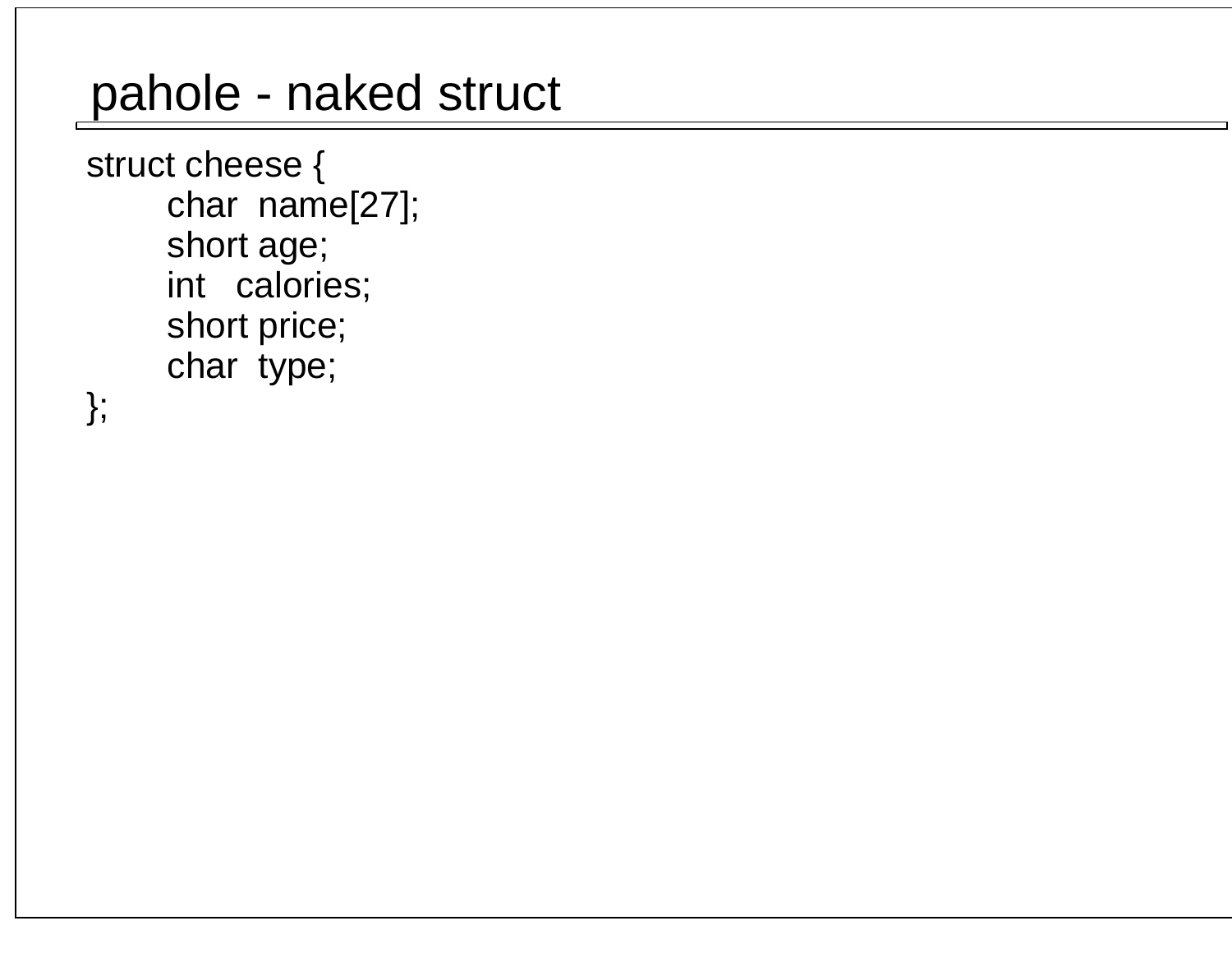### pahole - naked struct

 struct cheese { char name[27]; short age; int calories; short price;char type;

};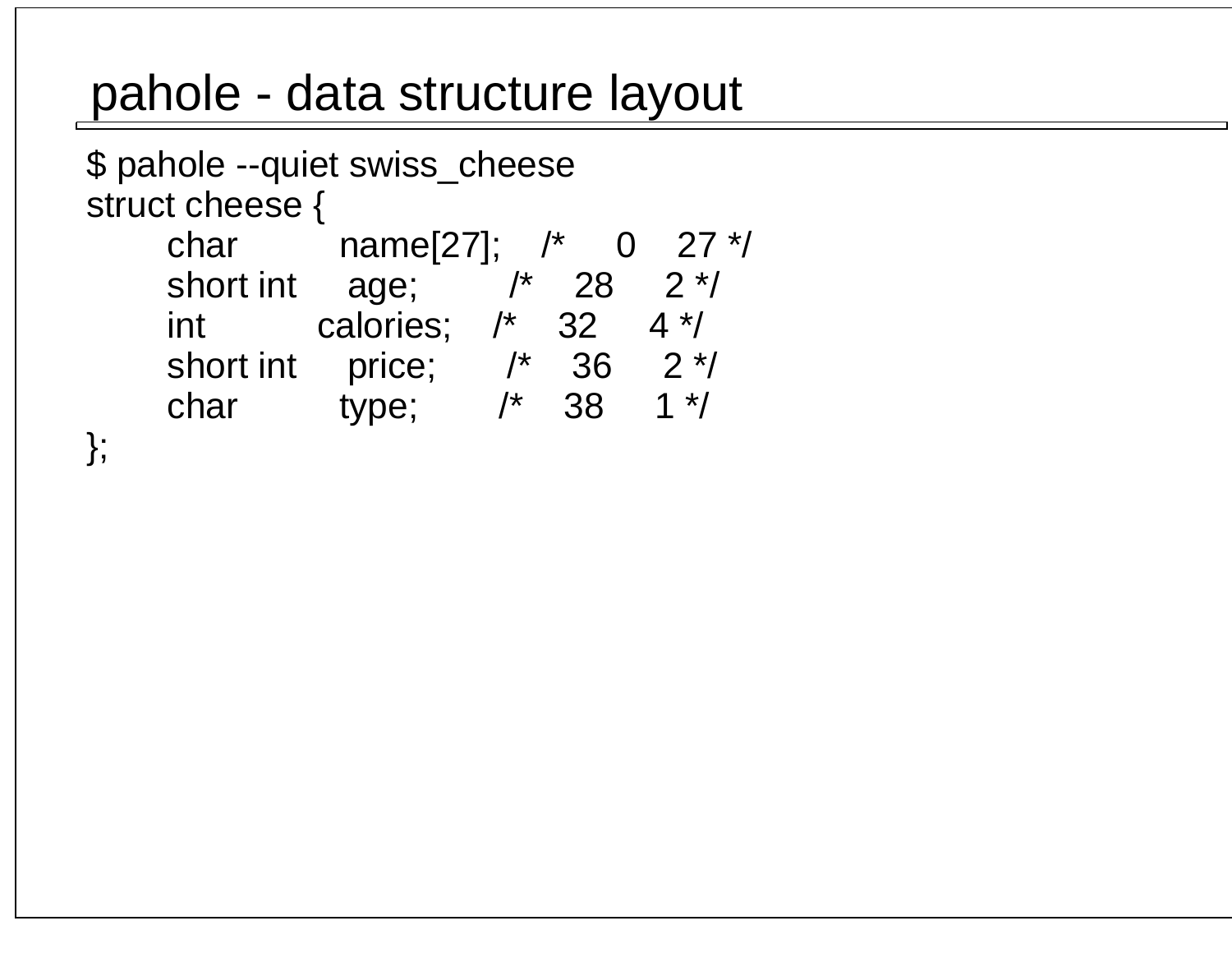### pahole - data structure layout

```
 $ pahole --quiet swiss_cheese struct cheese {
 char name[27]; /* 0 27 */short int age; \frac{7}{28} 2 */
int calories; /* 32 4 */short int price; /* 36 2*/
char type; /* 38 1 */
 };
```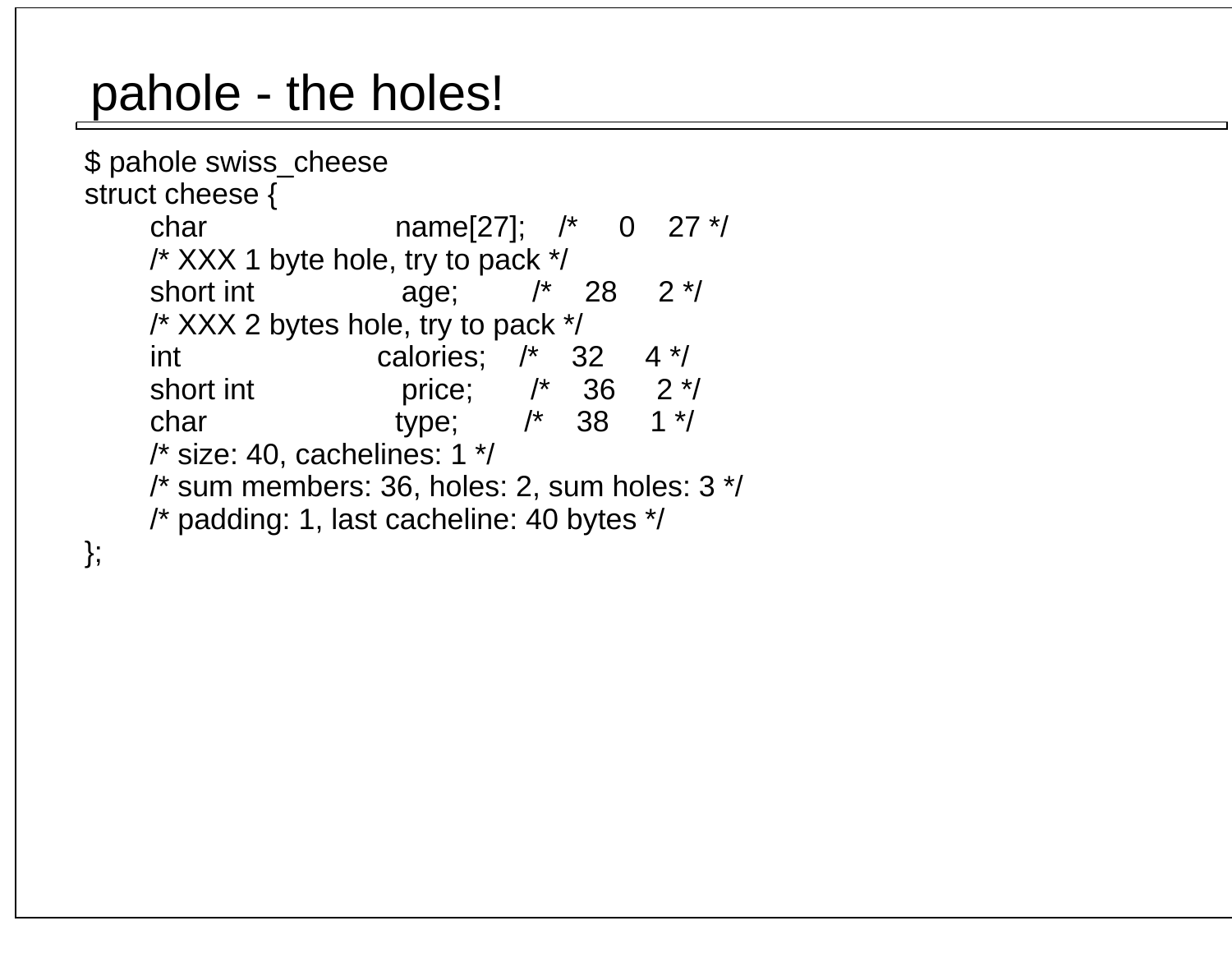## pahole - the holes!

```
 $ pahole swiss_cheese struct cheese { char name[27]; /* 0 27 */ /* XXX 1 byte hole, try to pack */short int \qquad \qquad age; \qquad /* 28 2 */
     /* XXX 2 bytes hole, try to pack */
 int calories; /* 32 4 */short int brice; \frac{1}{2} /* 36 2 */
                                     1 * /char type; /* 38
     /* size: 40, cachelines: 1 */
 /* sum members: 36, holes: 2, sum holes: 3 */ /* padding: 1, last cacheline: 40 bytes */
```
};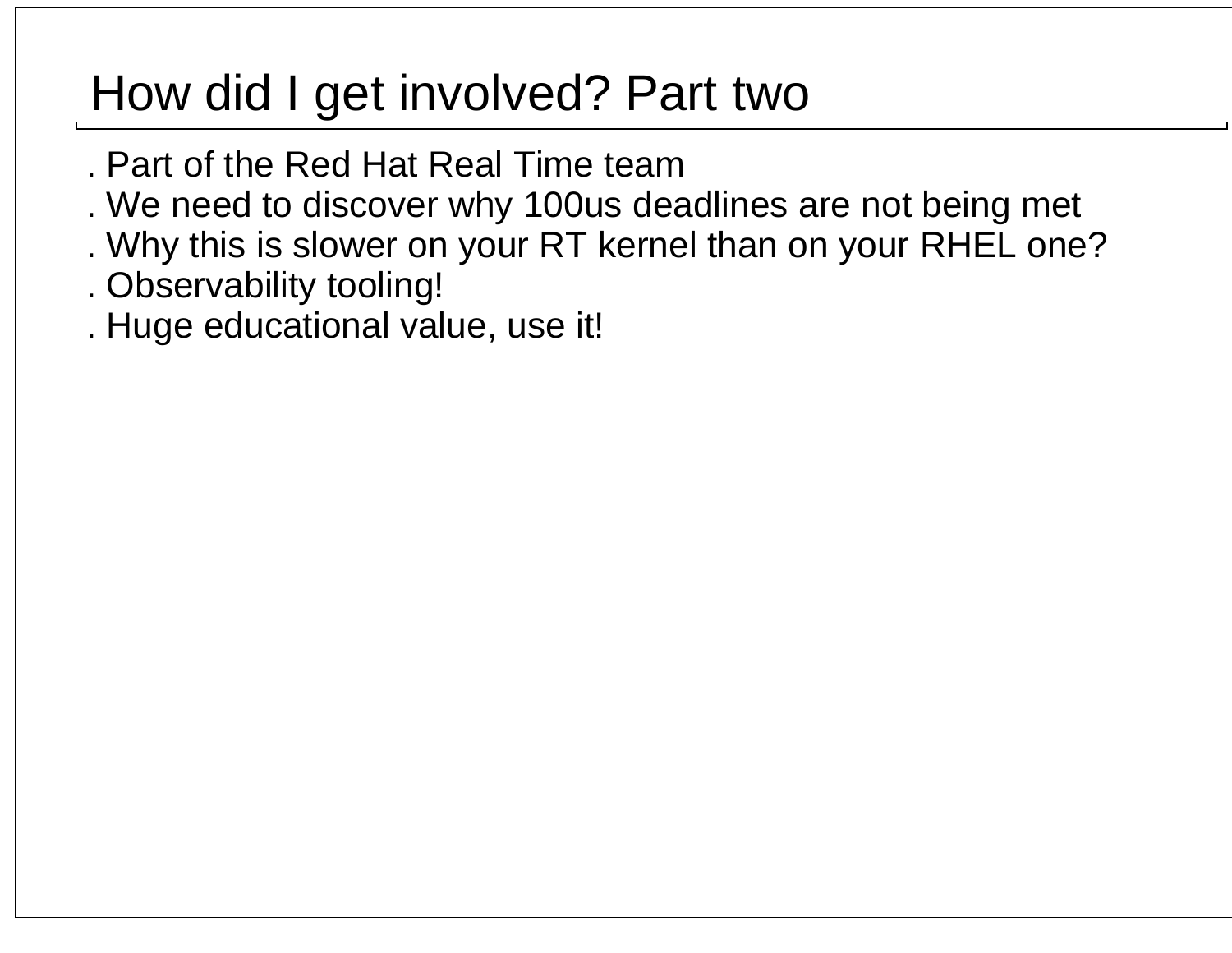## How did I get involved? Part two

- . Part of the Red Hat Real Time team
- . We need to discover why 100us deadlines are not being met
- . Why this is slower on your RT kernel than on your RHEL one?
- . Observability tooling!
- . Huge educational value, use it!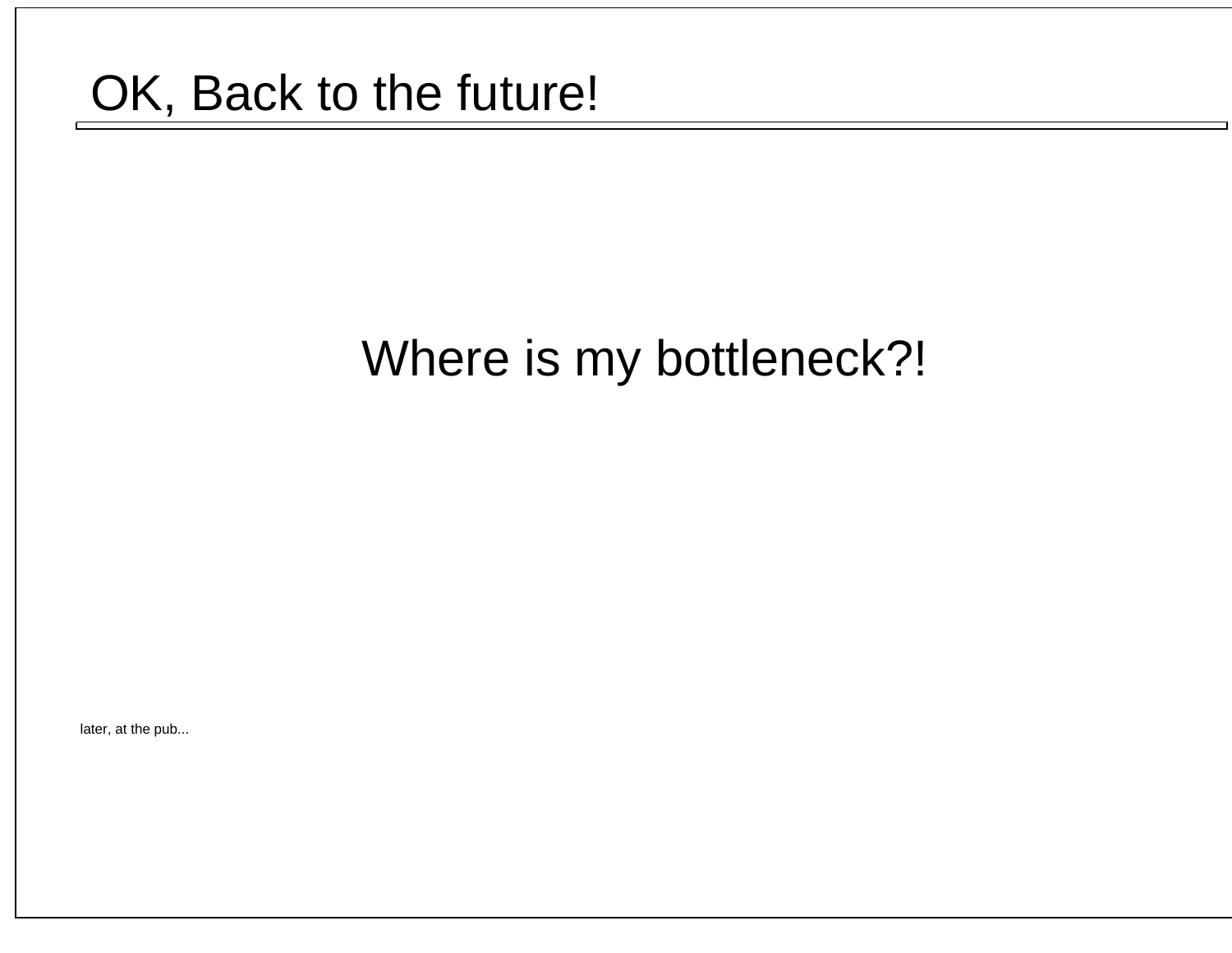### OK, Back to the future!

## Where is my bottleneck?!

later, at the pub...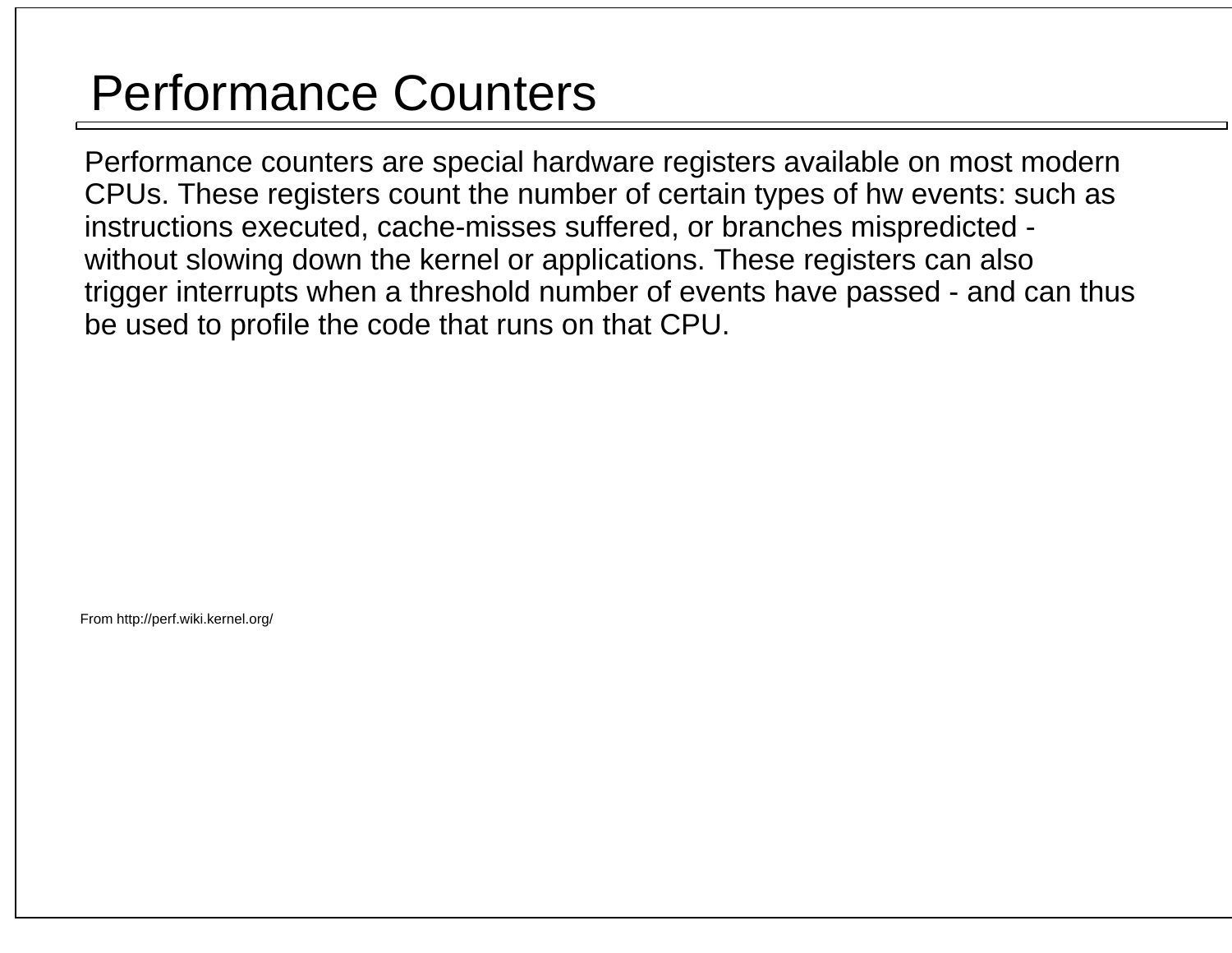## Performance Counters

 Performance counters are special hardware registers available on most modern CPUs. These registers count the number of certain types of hw events: such as instructions executed, cache-misses suffered, or branches mispredicted - without slowing down the kernel or applications. These registers can also trigger interrupts when a threshold number of events have passed - and can thusbe used to profile the code that runs on that CPU.

From http://perf.wiki.kernel.org/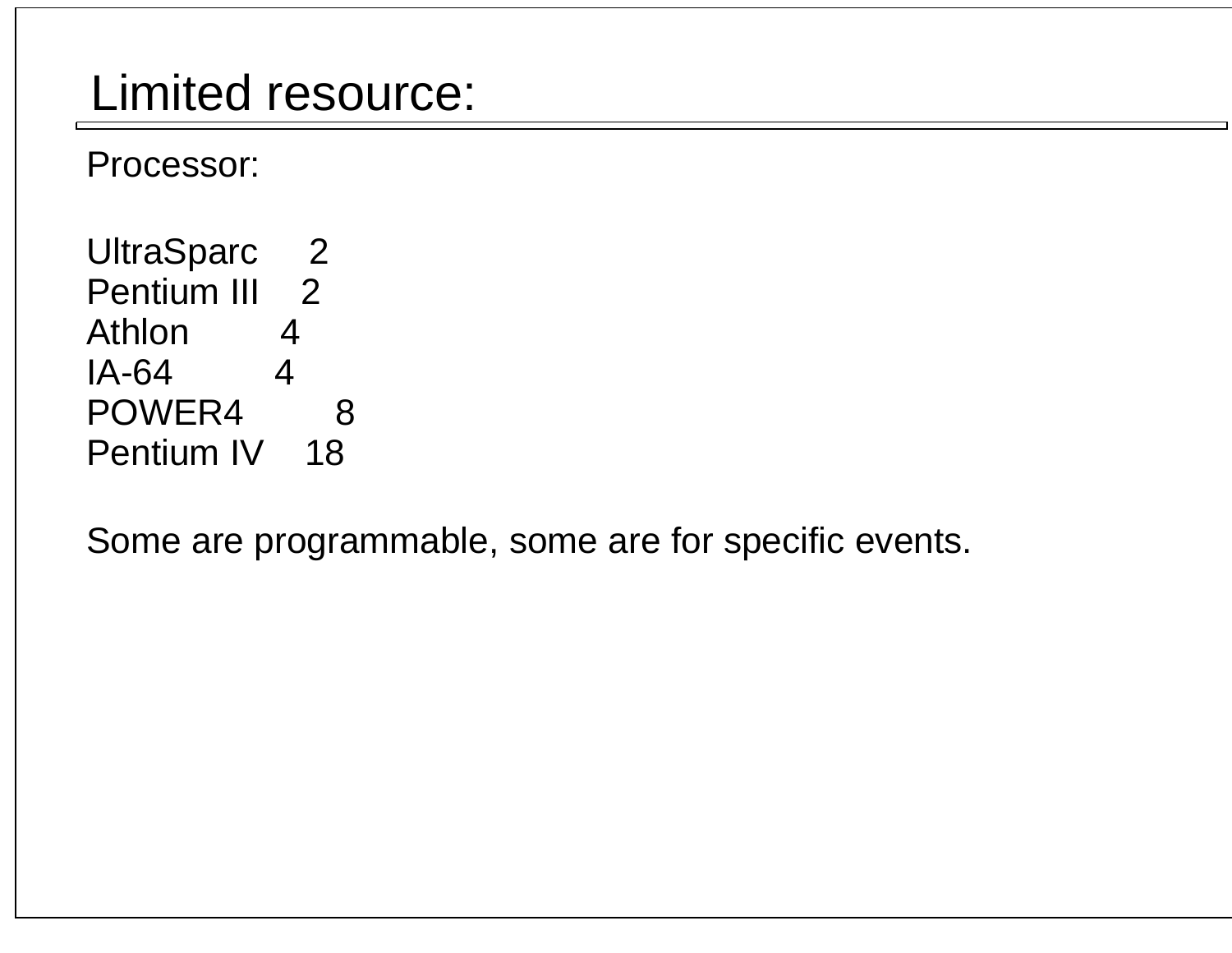### Limited resource:

Processor:

UltraSparc 2 Pentium III 2 Athlon 4 IA-64 4POWER4 8 Pentium IV 18

Some are programmable, some are for specific events.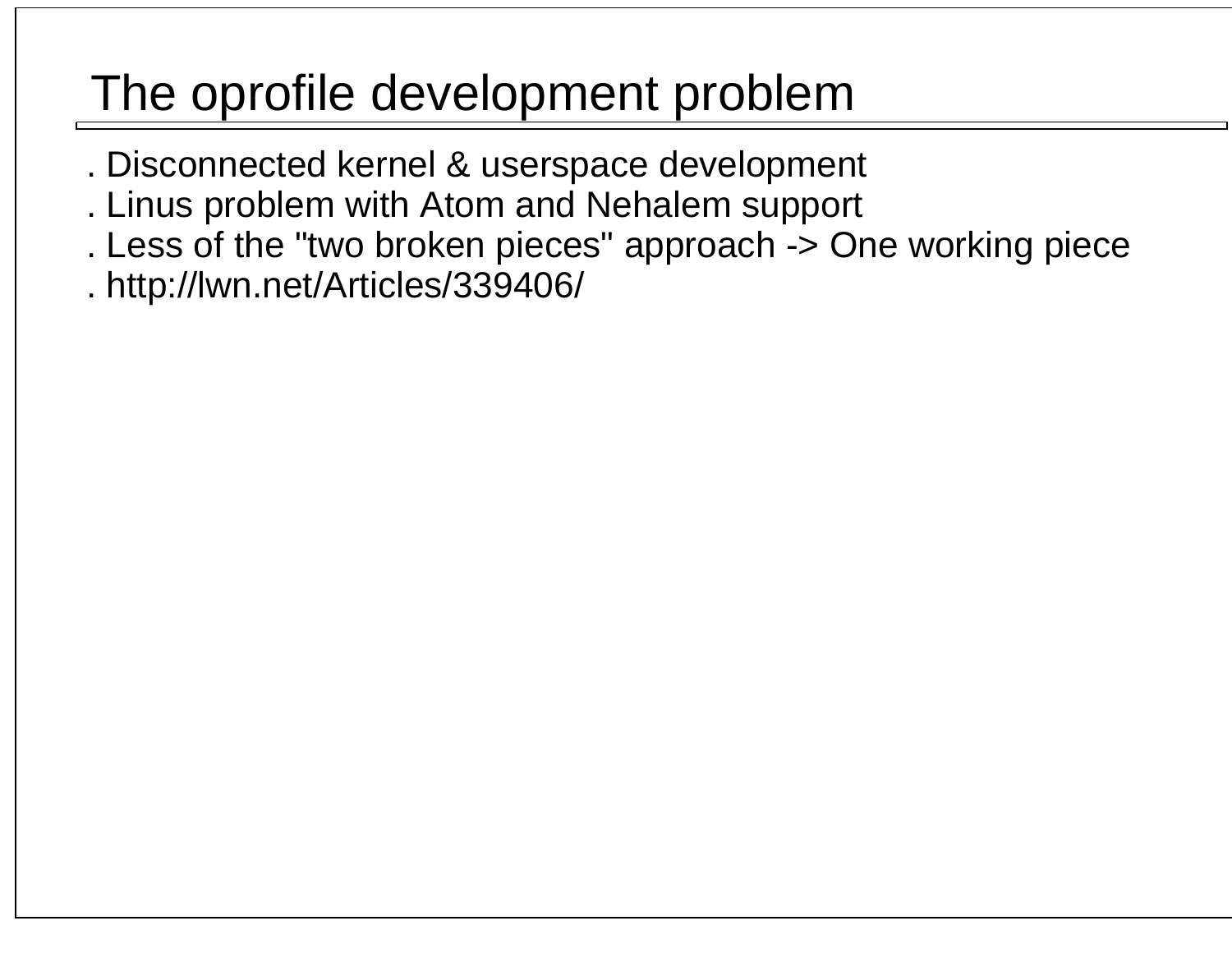## The oprofile development problem

- . Disconnected kernel & userspace development
- . Linus problem with Atom and Nehalem support
- . Less of the "two broken pieces" approach -> One working piece
- . http://lwn.net/Articles/339406/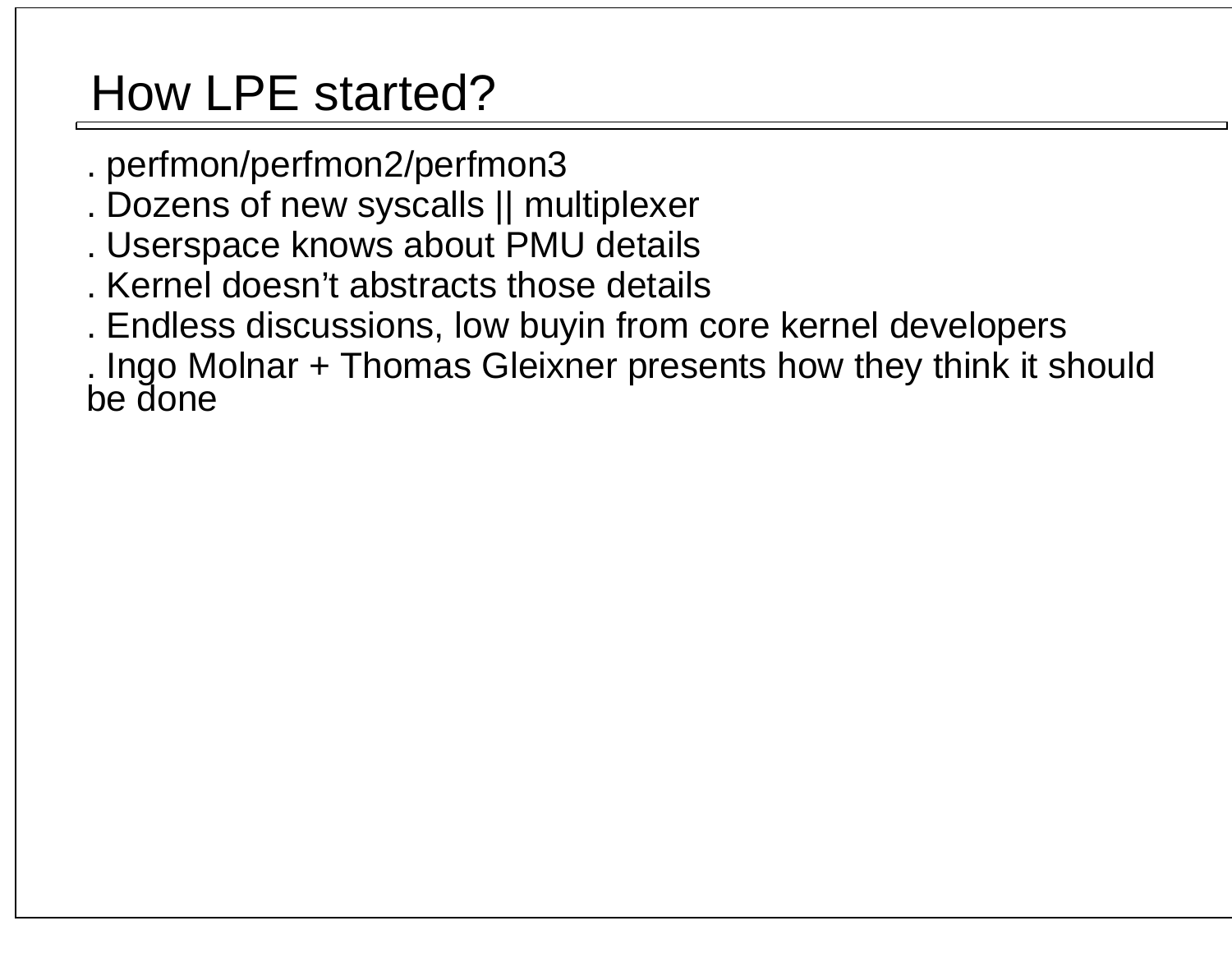## How LPE started?

- . perfmon/perfmon2/perfmon3
- . Dozens of new syscalls || multiplexer
- . Userspace knows about PMU details
- . Kernel doesn't abstracts those details
- . Endless discussions, low buyin from core kernel developers
- . Ingo Molnar + Thomas Gleixner presents how they think it should be done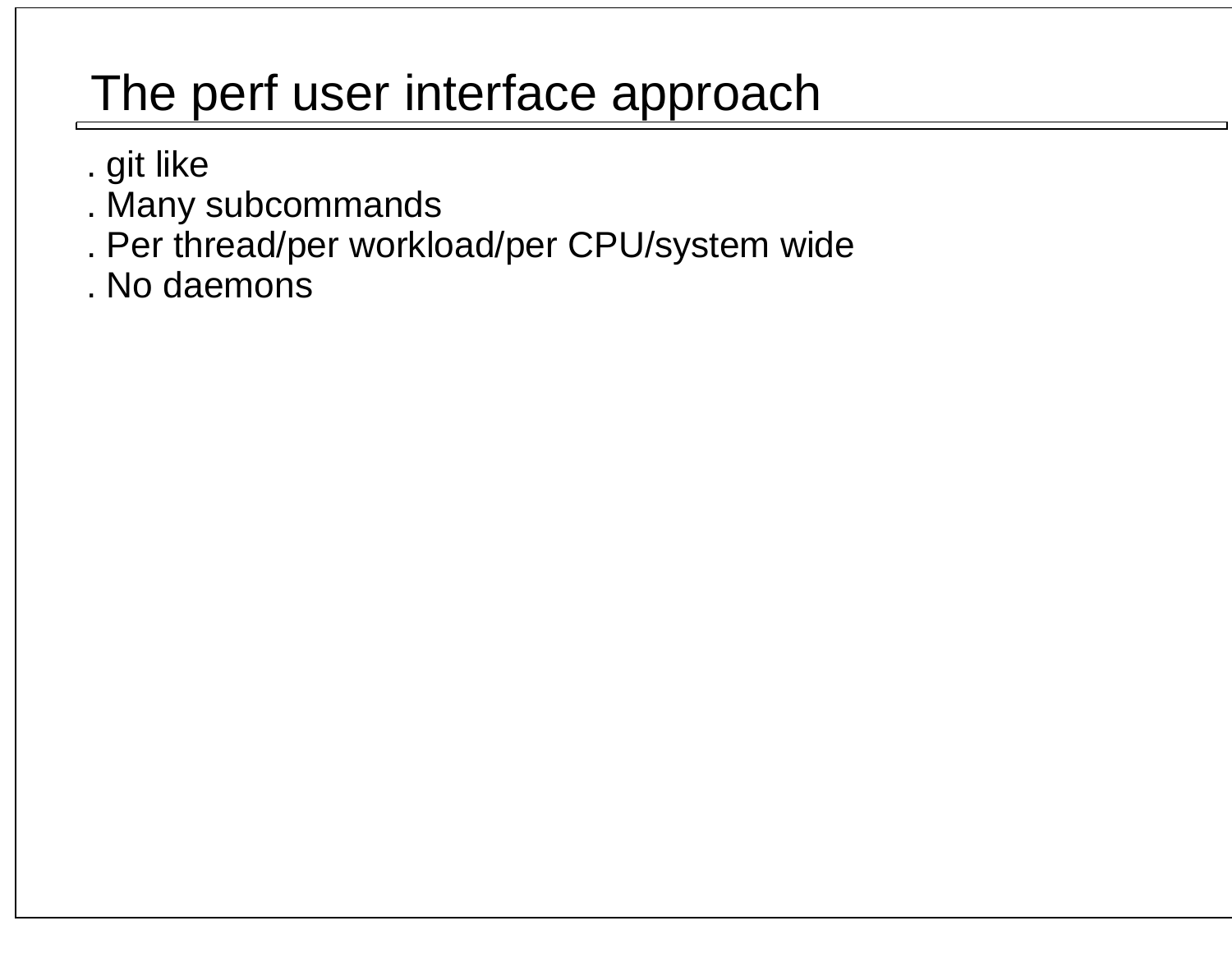## The perf user interface approach

- . git like
- . Many subcommands
- . Per thread/per workload/per CPU/system wide
- . No daemons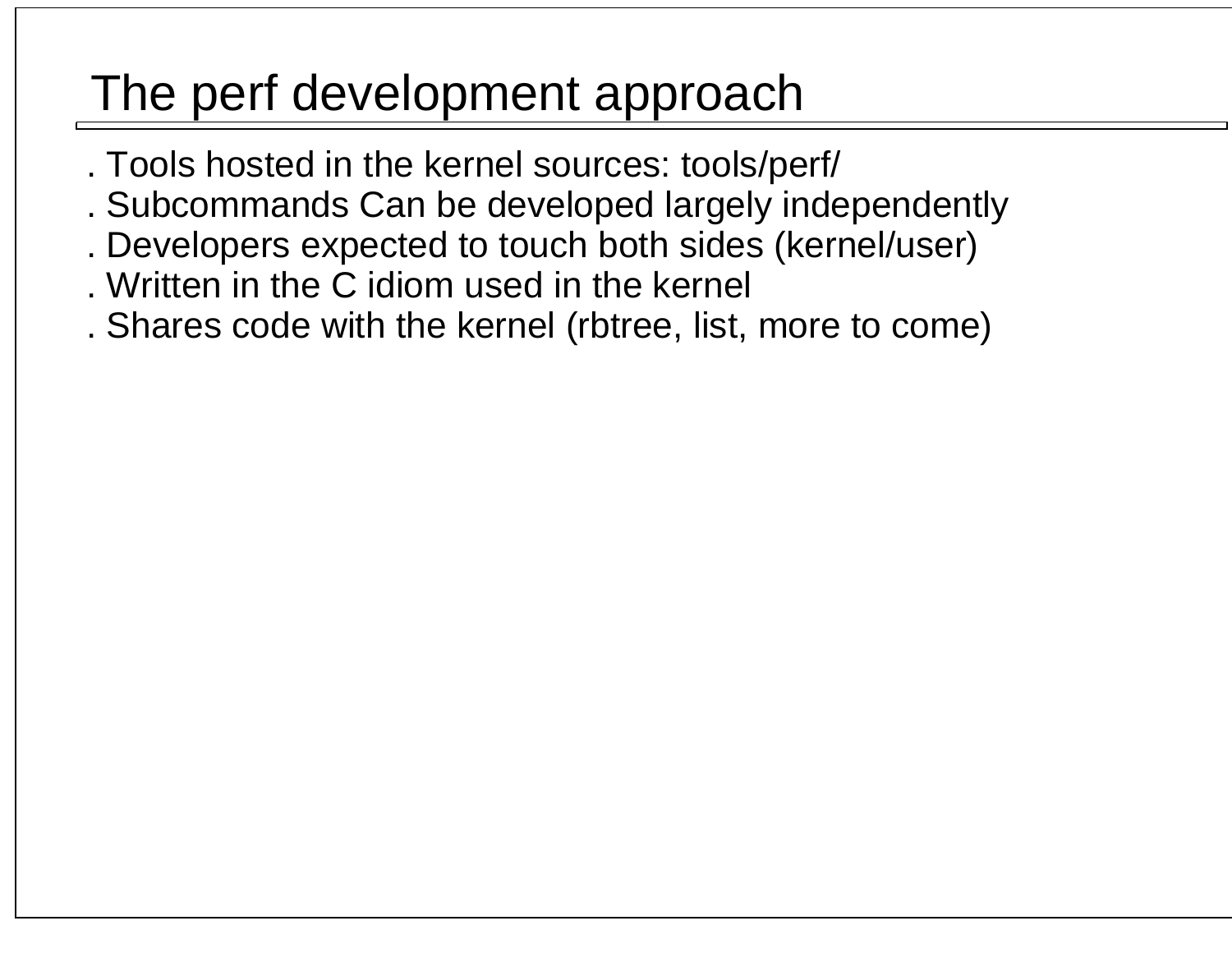## The perf development approach

- . Tools hosted in the kernel sources: tools/perf/
- . Subcommands Can be developed largely independently
- . Developers expected to touch both sides (kernel/user)
- . Written in the C idiom used in the kernel
- . Shares code with the kernel (rbtree, list, more to come)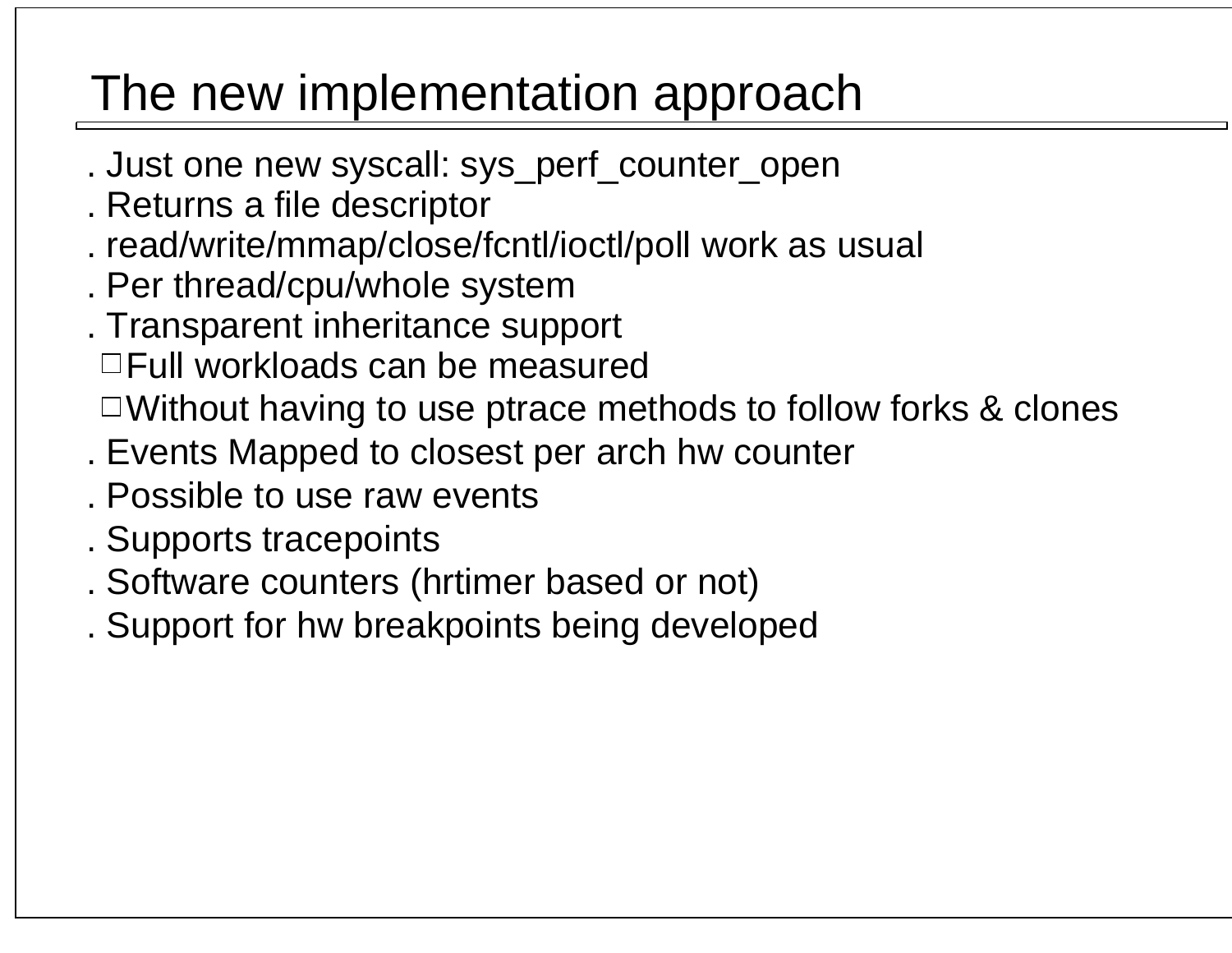## The new implementation approach

- . Just one new syscall: sys\_perf\_counter\_open
- . Returns a file descriptor
- . read/write/mmap/close/fcntl/ioctl/poll work as usual
- . Per thread/cpu/whole system
- . Transparent inheritance support
	- Full workloads can be measured
	- Without having to use ptrace methods to follow forks & clones
- . Events Mapped to closest per arch hw counter
- . Possible to use raw events
- . Supports tracepoints
- . Software counters (hrtimer based or not)
- . Support for hw breakpoints being developed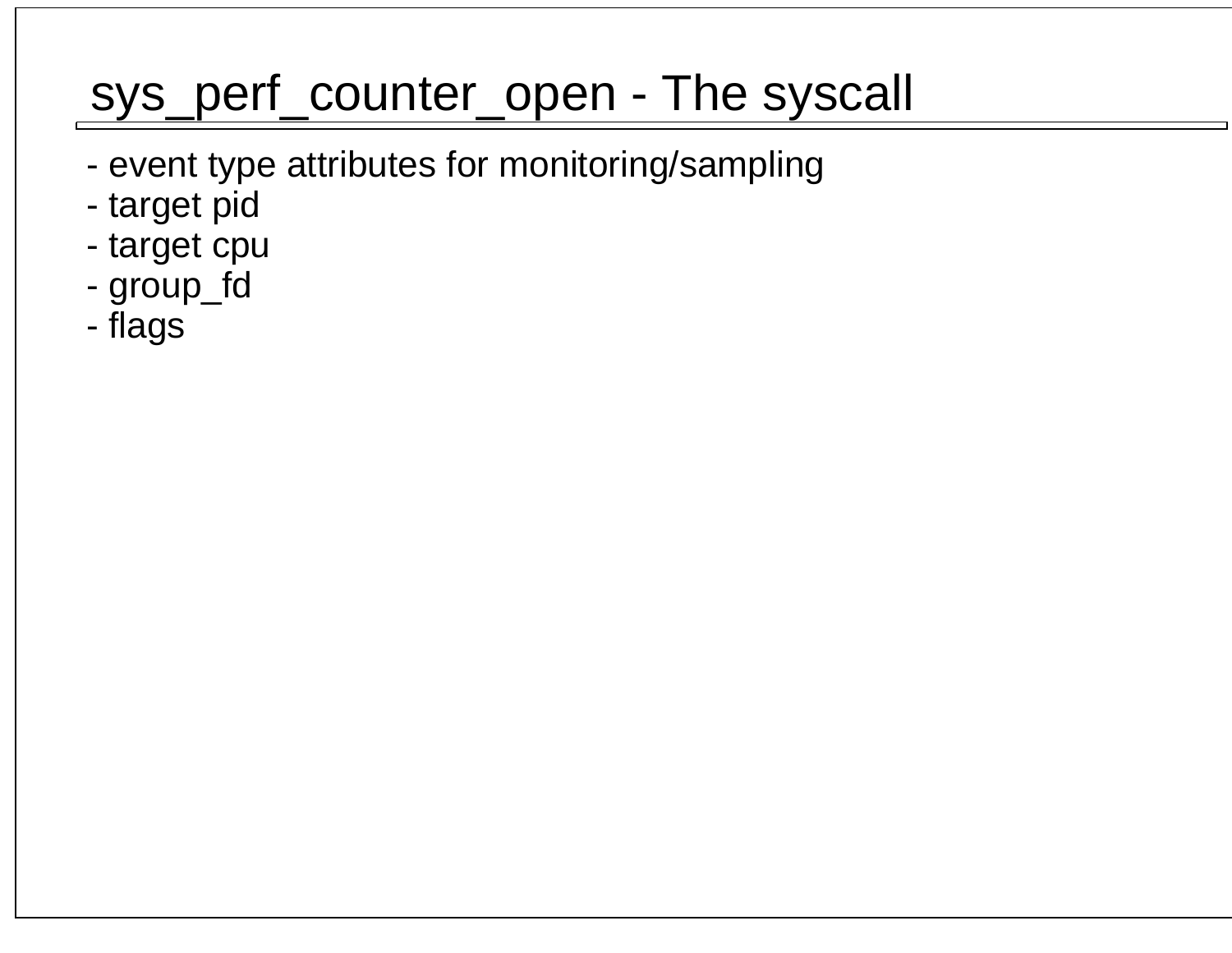## sys\_perf\_counter\_open - The syscall

- event type attributes for monitoring/sampling
- target pid
- target cpu
- group\_fd
- flags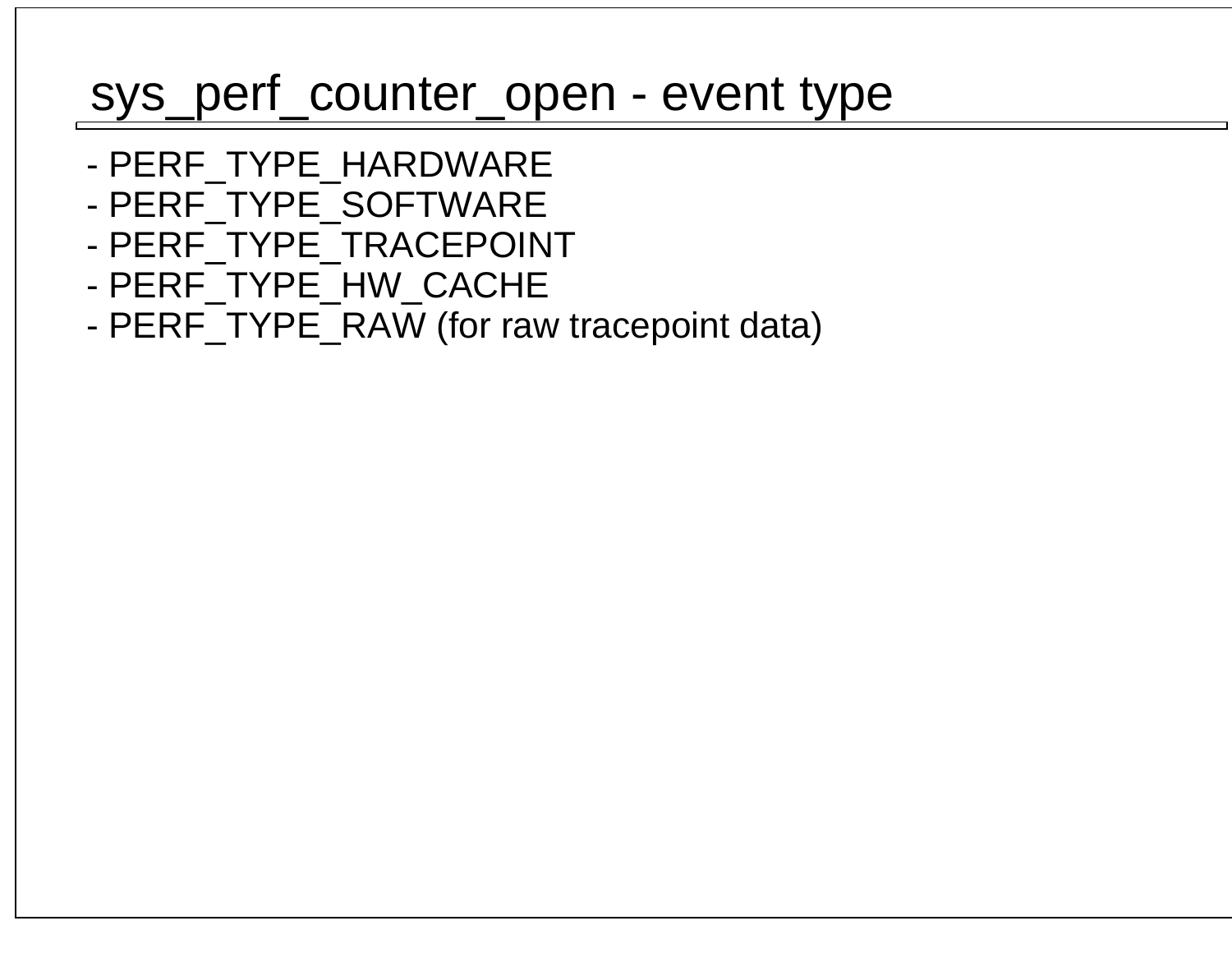### sys\_perf\_counter\_open - event type

- PERF\_TYPE\_HARDWARE
- PERF\_TYPE\_SOFTWARE
- PERF\_TYPE\_TRACEPOINT
- PERF\_TYPE\_HW\_CACHE
- PERF\_TYPE\_RAW (for raw tracepoint data)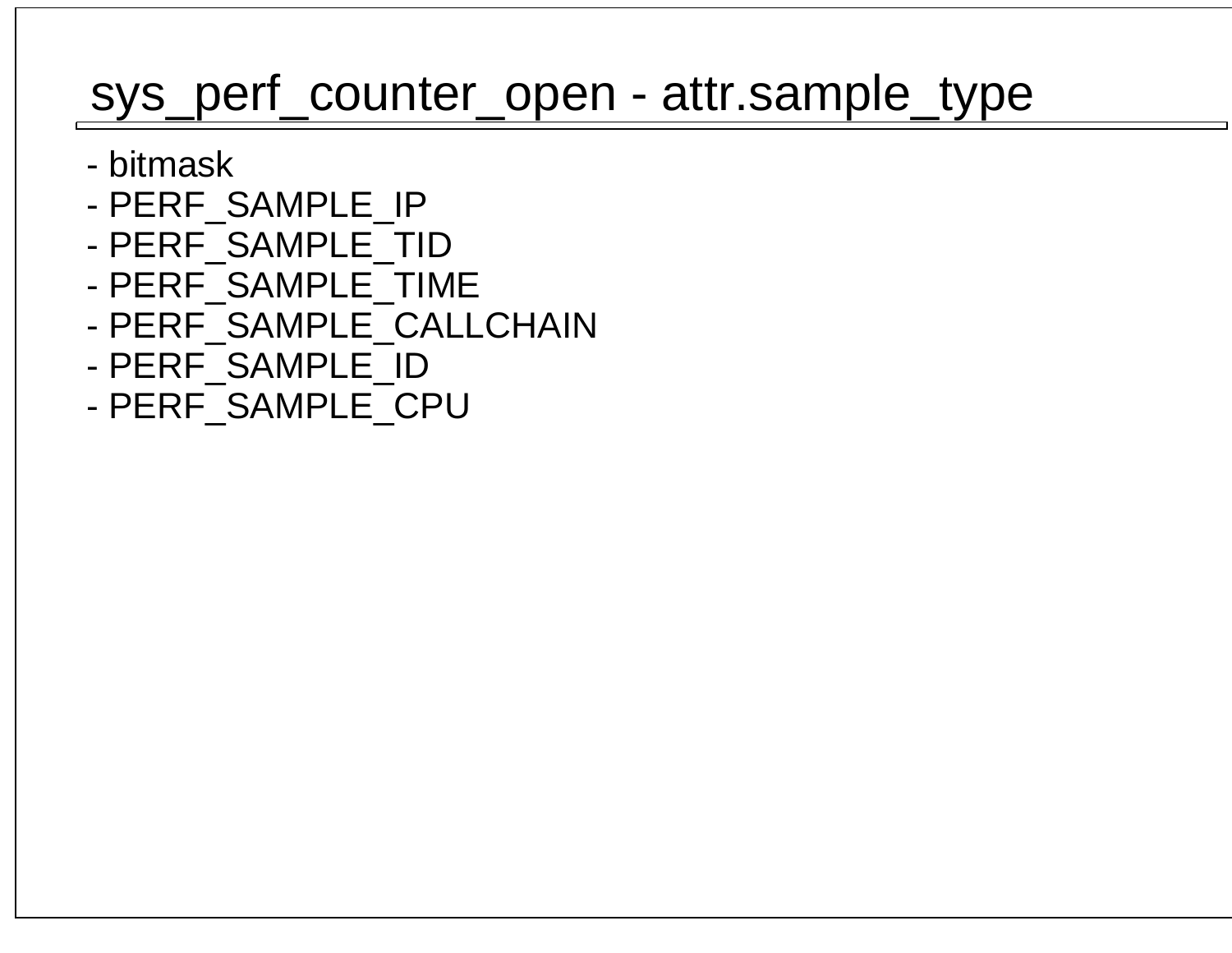### sys\_perf\_counter\_open - attr.sample\_type

- bitmask
- PERF\_SAMPLE\_IP
- PERF\_SAMPLE\_TID
- PERF\_SAMPLE\_TIME
- PERF\_SAMPLE\_CALLCHAIN
- PERF\_SAMPLE\_ID
- PERF\_SAMPLE\_CPU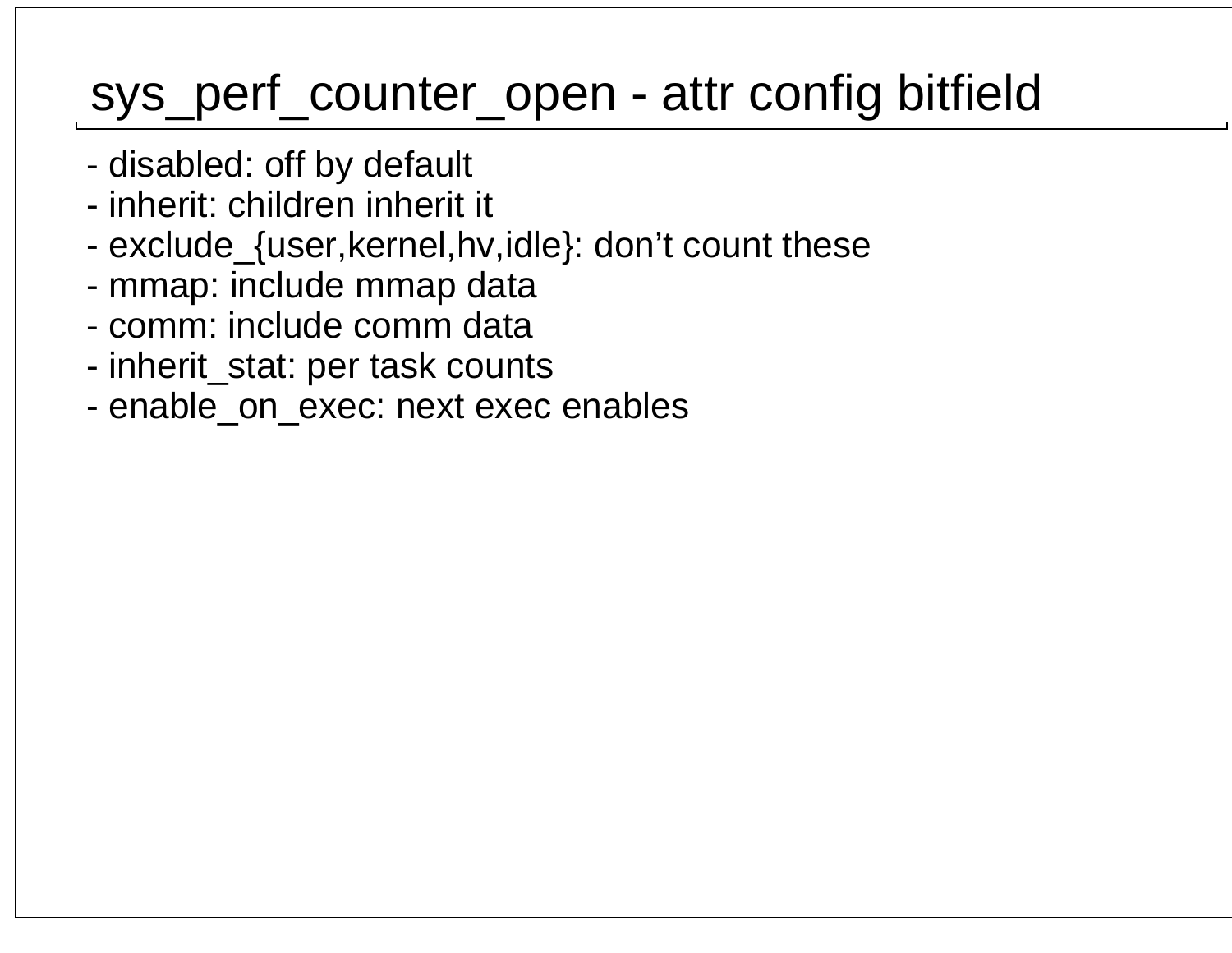### sys\_perf\_counter\_open - attr config bitfield

- disabled: off by default
- inherit: children inherit it
- exclude\_{user,kernel,hv,idle}: don't count these
- mmap: include mmap data
- comm: include comm data
- inherit\_stat: per task counts
- enable\_on\_exec: next exec enables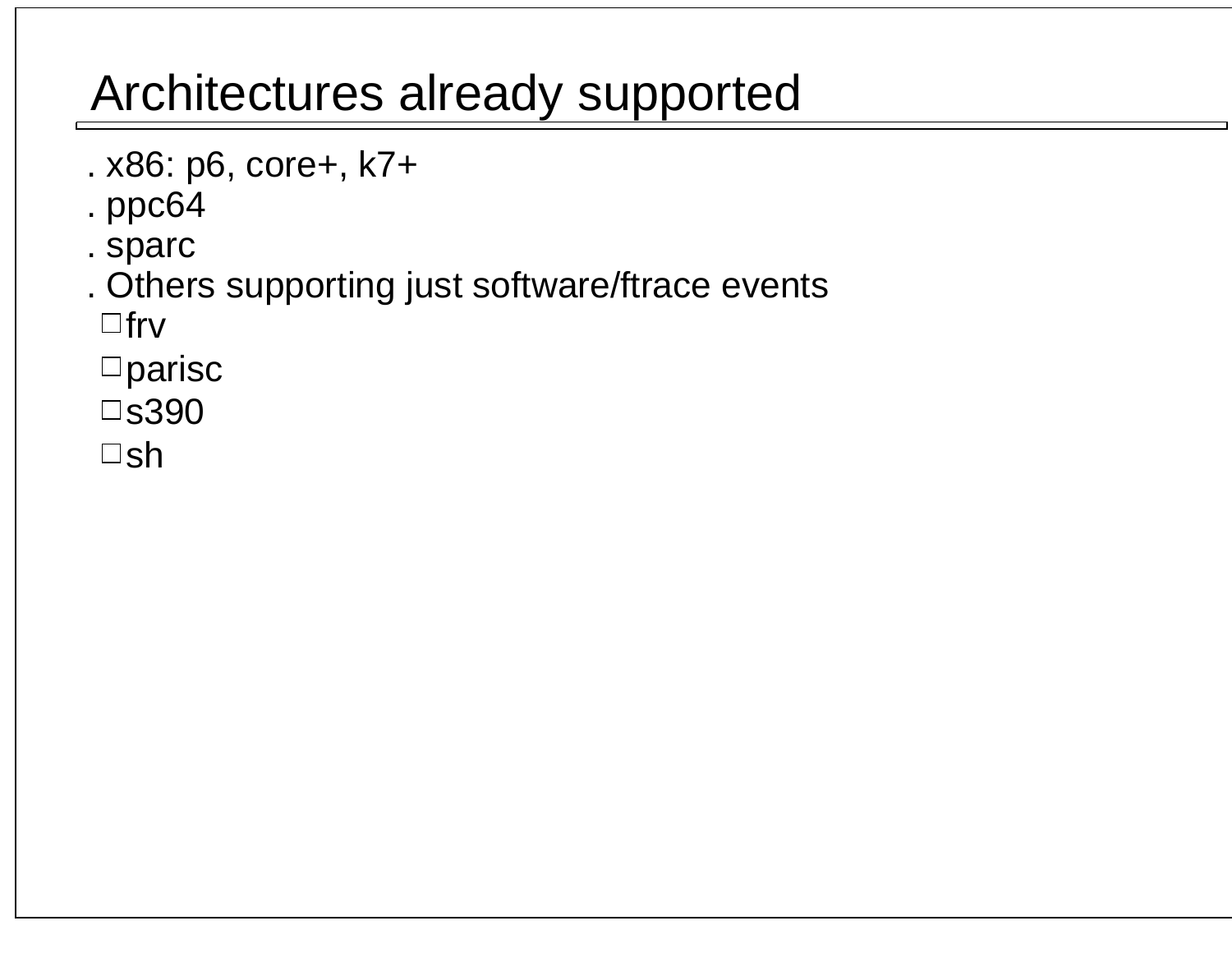## Architectures already supported

- . x86: p6, core+, k7+
- . ppc64
- . sparc
- . Others supporting just software/ftrace events

 $\Box$ frv

- parisc
- s390
- $\square$ sh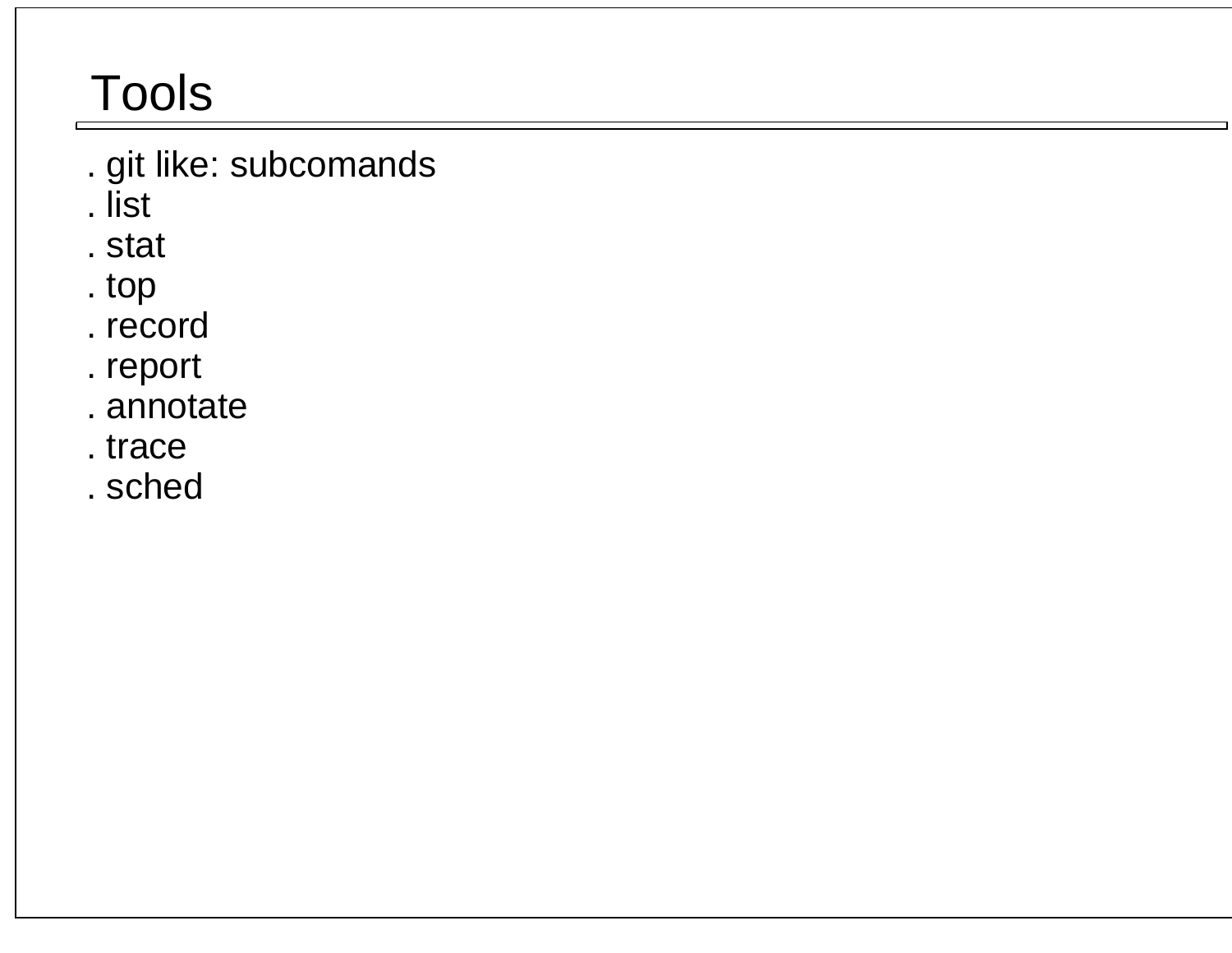## **Tools**

- . git like: subcomands
- . list
- . stat
- . top
- . record
- . report
- . annotate
- . trace
- . sched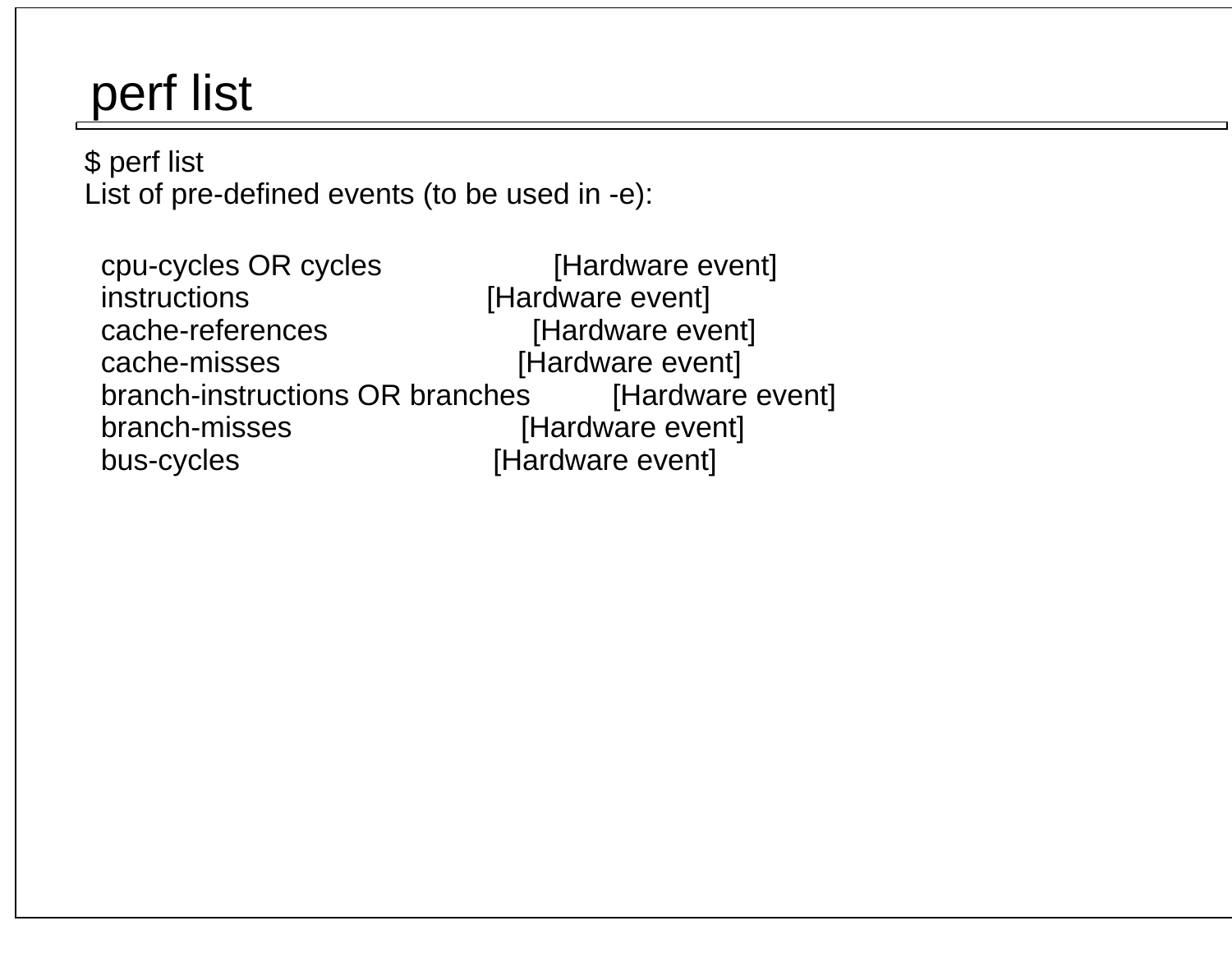## perf list

 \$ perf listList of pre-defined events (to be used in -e):

 cpu-cycles OR cycles [Hardware event]instructions [Hardware event] cache-references [Hardware event]cache-misses [Hardware event] [Hardware event] branch-instructions OR branches branch-misses [Hardware event] bus-cycles [Hardware event]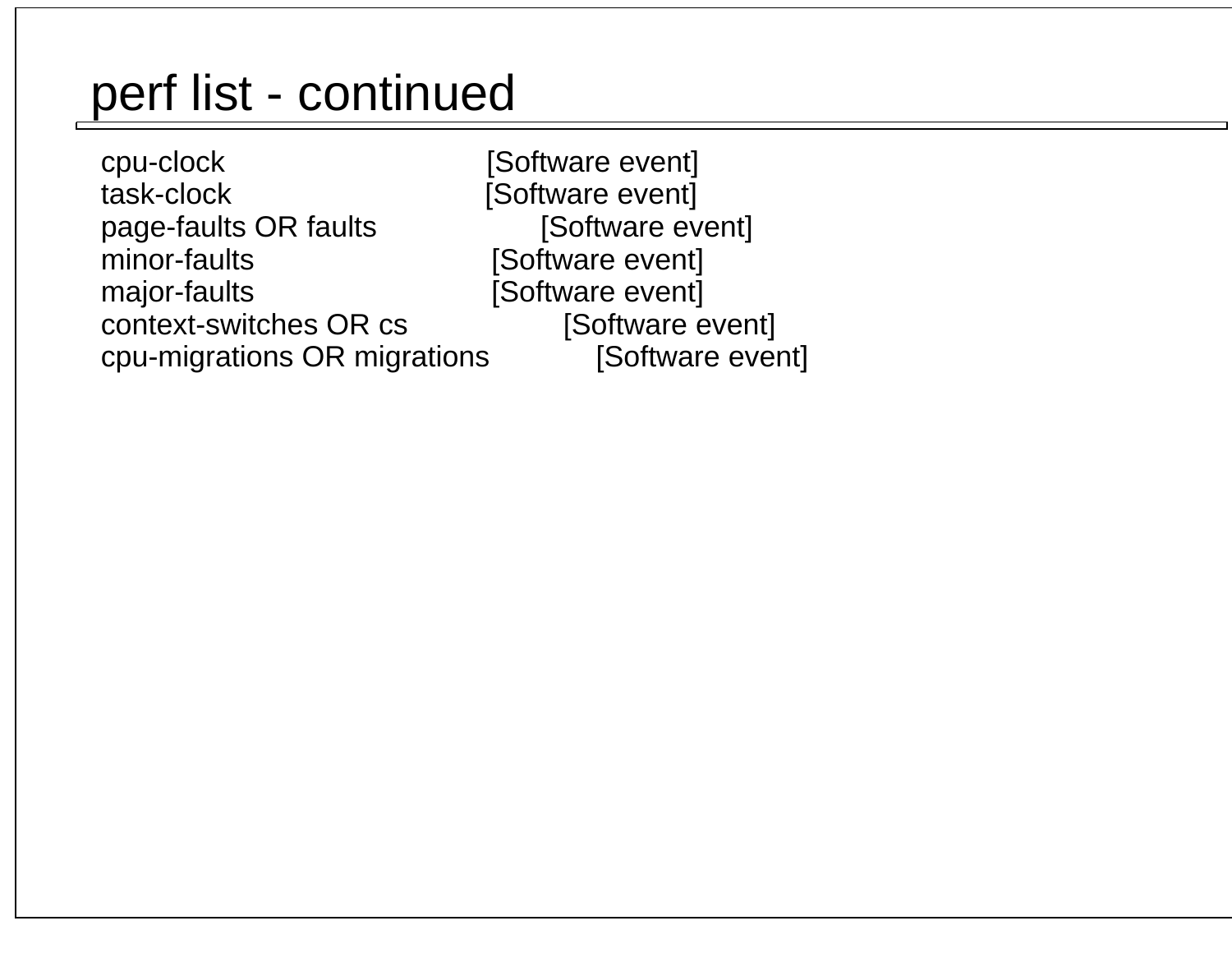cpu-clock [Software event] task-clock [Software event]page-faults OR faults minor-faults **[Software event]** major-faults [Software event] context-switches OR cs cpu-migrations OR migrations

[Software event] [Software event] [Software event]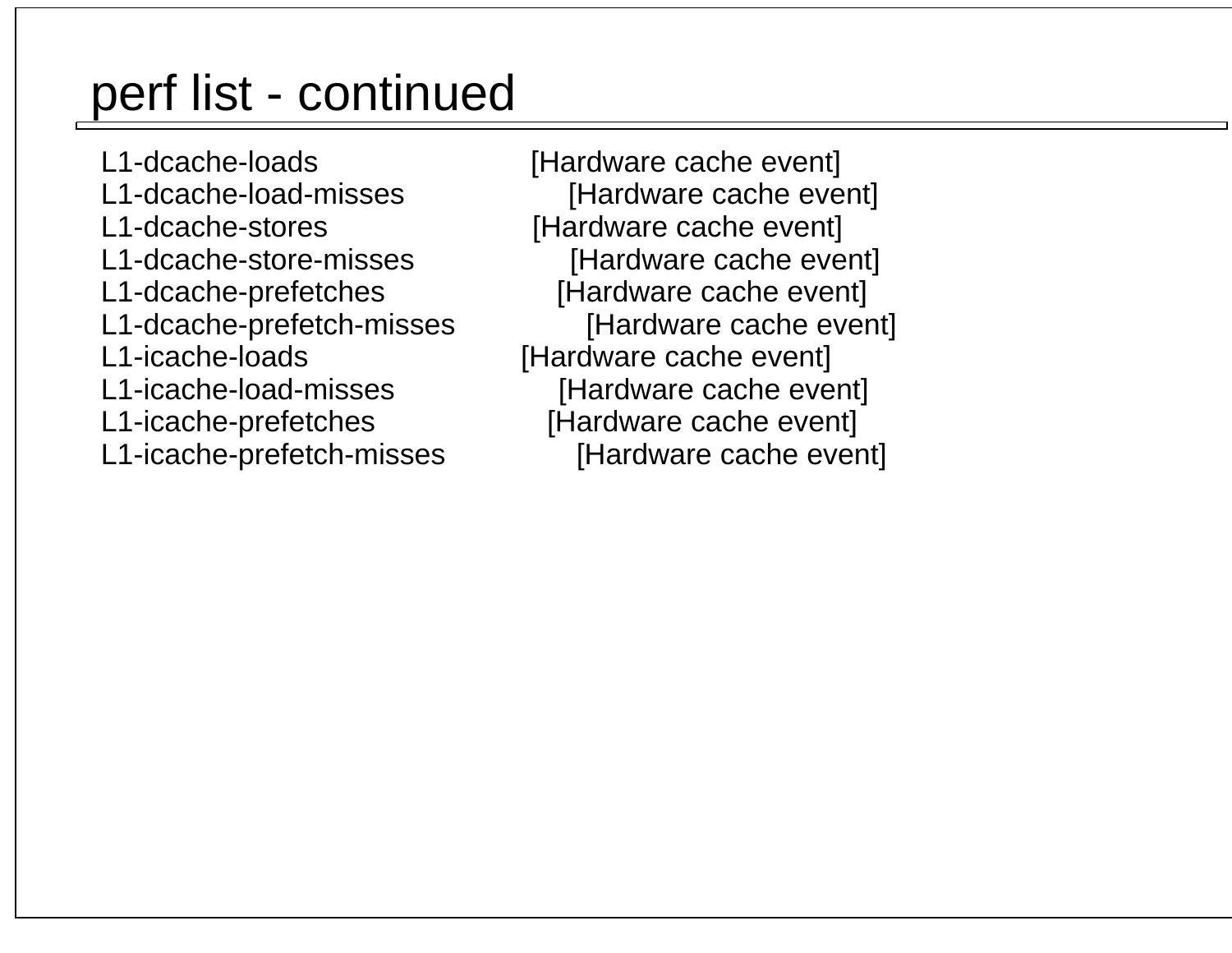L1-dcache-loads [Hardware cache event] L1-dcache-load-misses [Hardware cache event] L1-dcache-stores [Hardware cache event] L1-dcache-store-misses [Hardware cache event] L1-dcache-prefetches [Hardware cache event]L1-dcache-prefetch-misses L1-icache-loads [Hardware cache event]L1-icache-load-misses [Hardware cache event] L1-icache-prefetches [Hardware cache event]L1-icache-prefetch-misses [Hardware cache event]

[Hardware cache event]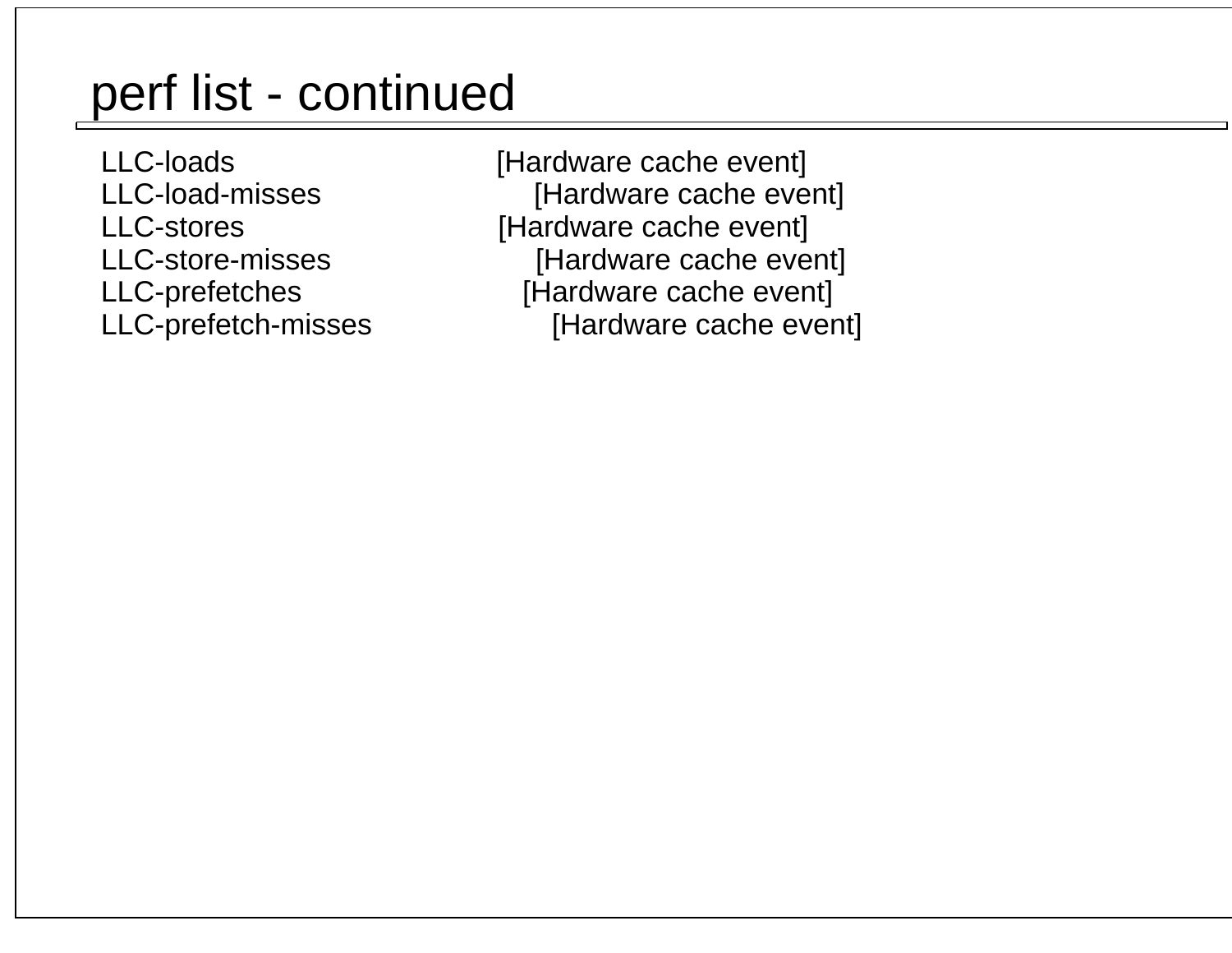LLC-loads [Hardware cache event]LLC-load-misses **big in the Cache Event**] LLC-stores [Hardware cache event]LLC-store-misses [Hardware cache event] LLC-prefetches [Hardware cache event]LLC-prefetch-misses [Hardware cache event]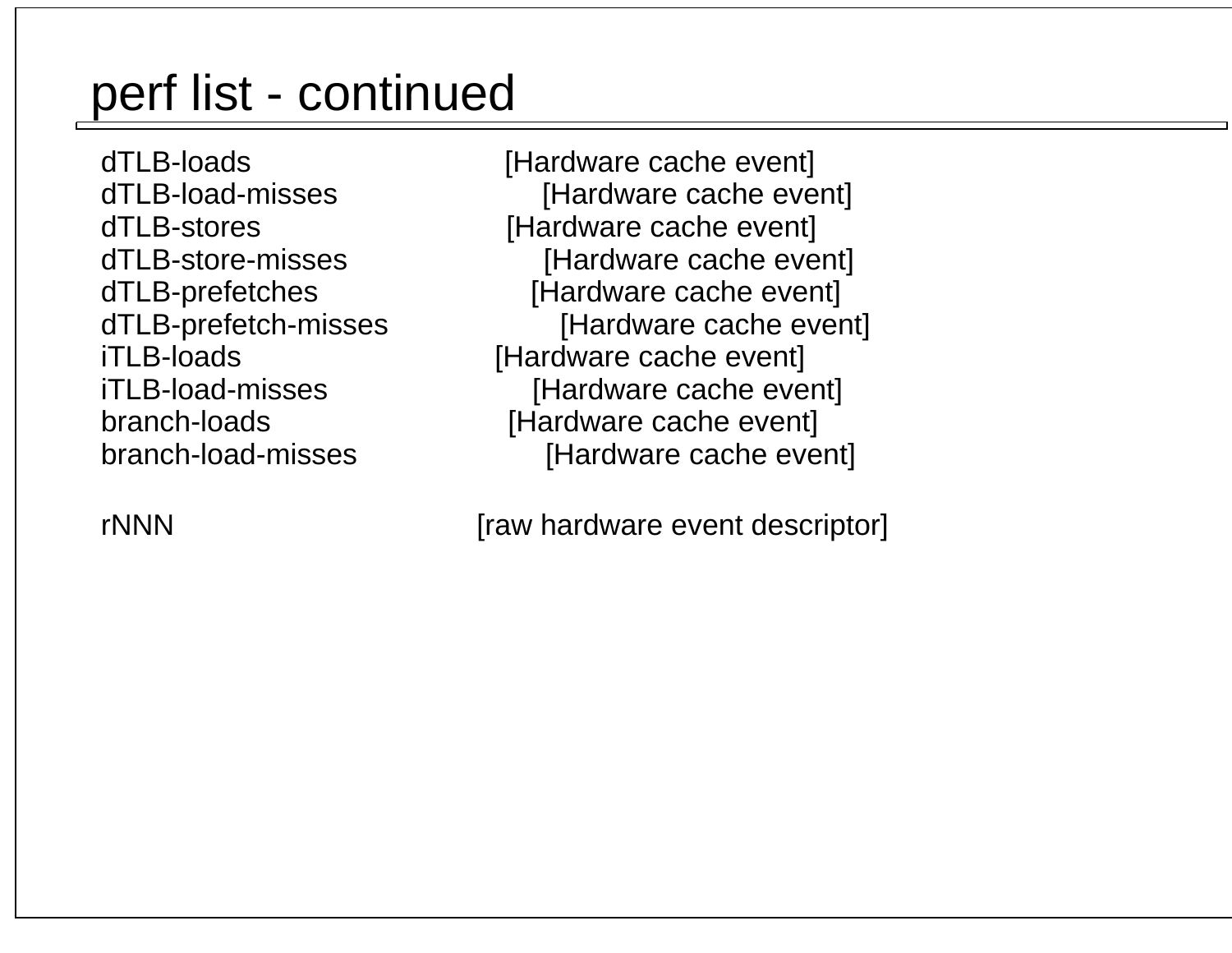dTLB-loads [Hardware cache event]dTLB-load-misses [Hardware cache event] dTLB-stores [Hardware cache event] dTLB-store-misses [Hardware cache event] dTLB-prefetches [Hardware cache event] dTLB-prefetch-misses [Hardware cache event] iTLB-loads [Hardware cache event]iTLB-load-misses [Hardware cache event] branch-loads [Hardware cache event]branch-load-misses [Hardware cache event]

rNNN [raw hardware event descriptor]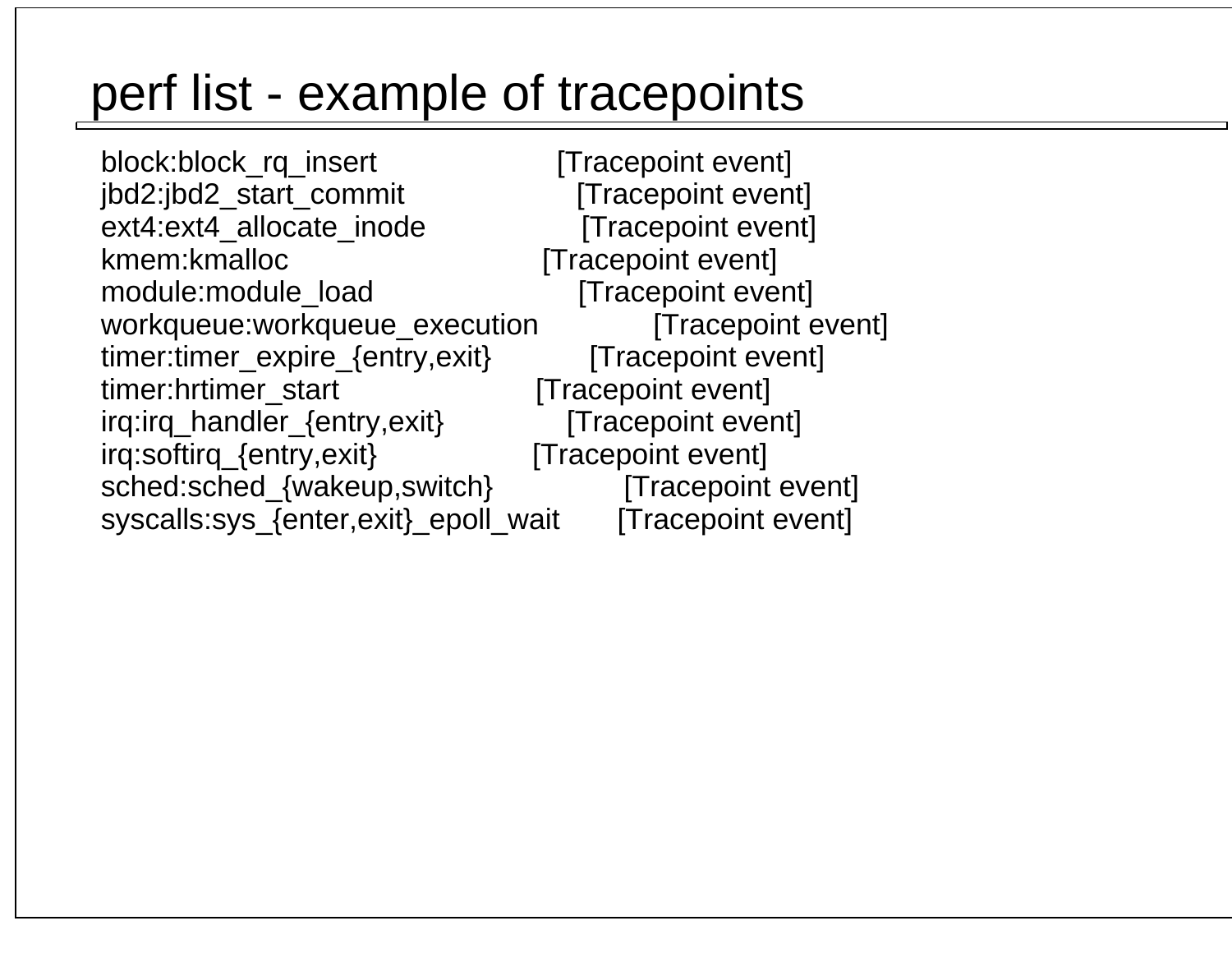## perf list - example of tracepoints

block:block\_rq\_insert [Tracepoint event] jbd2:jbd2\_start\_commit [Tracepoint event] [Tracepoint event] ext4:ext4\_allocate\_inode kmem:kmalloc [Tracepoint event] [Tracepoint event] module:module\_load workqueue:workqueue\_execution [Tracepoint event] timer:timer\_expire\_{entry,exit} [Tracepoint event]timer:hrtimer\_start [Tracepoint event] irq:irq\_handler\_{entry,exit} [Tracepoint event] irq:softirq\_{entry,exit} [Tracepoint event] sched:sched\_{wakeup,switch} [Tracepoint event]syscalls:sys\_{enter,exit}\_epoll\_wait [Tracepoint event]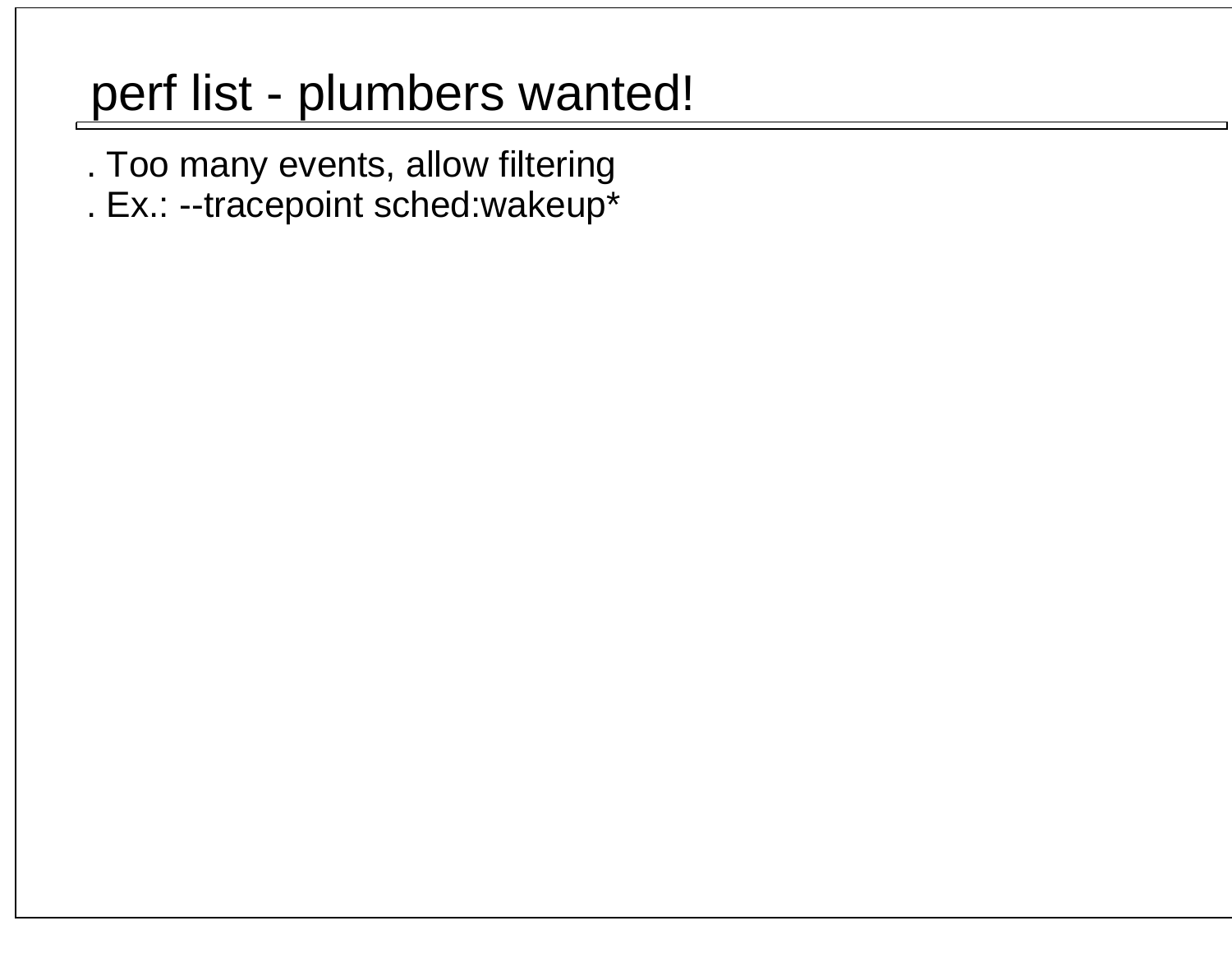## perf list - plumbers wanted!

- . Too many events, allow filtering
- . Ex.: --tracepoint sched:wakeup\*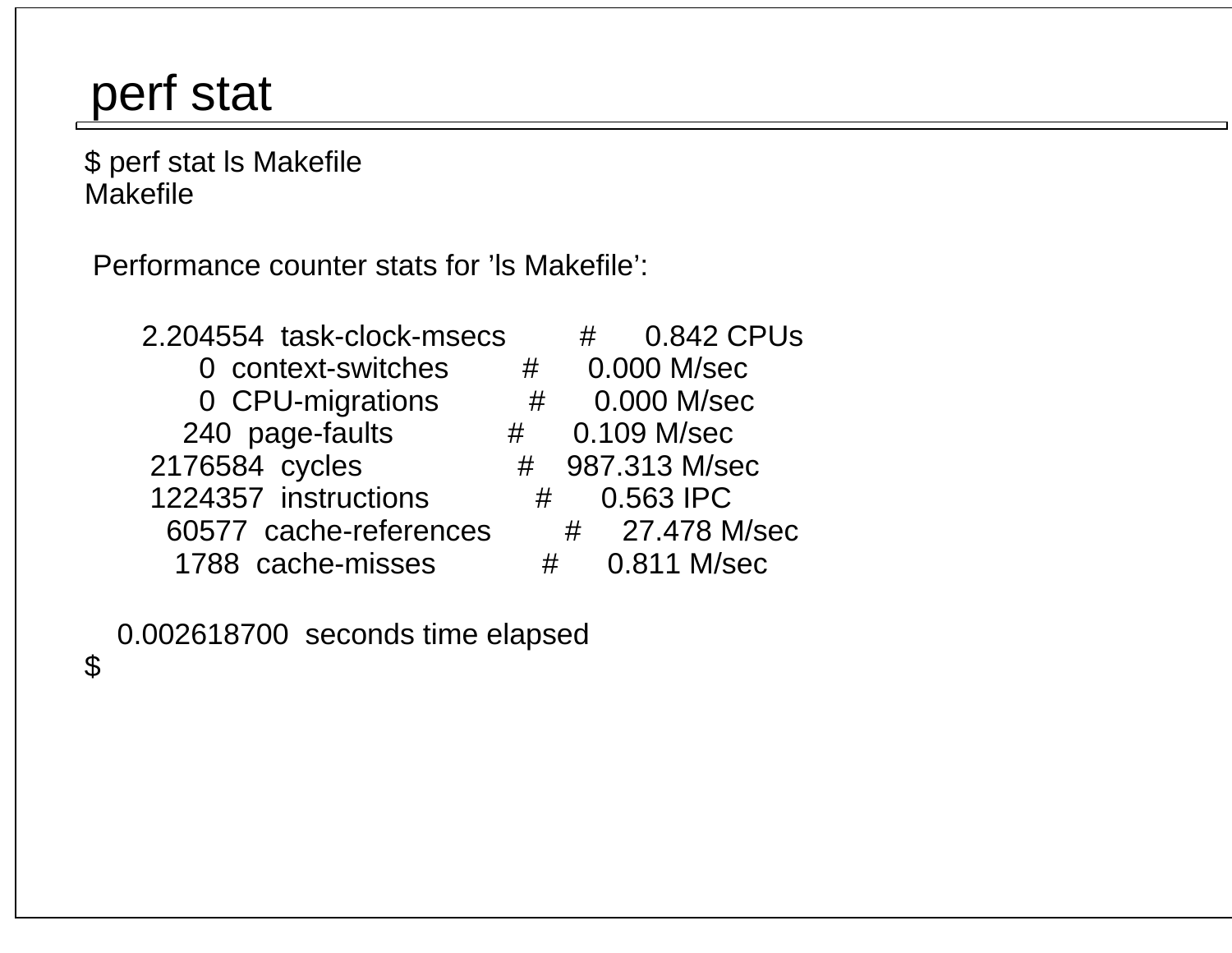### perf stat

 \$ perf stat ls MakefileMakefile

Performance counter stats for 'ls Makefile':

 2.204554 task-clock-msecs # 0.842 CPUs 0 context-switches # 0.000 M/sec 0 CPU-migrations # 0.000 M/sec 240 page-faults # 0.109 M/sec2176584 cycles 1224357 instructions # 0.563 IPC 60577 cache-references # 27.478 M/sec1788 cache-misses # 0.811 M/sec

# 987.313 M/sec

0.002618700 seconds time elapsed

\$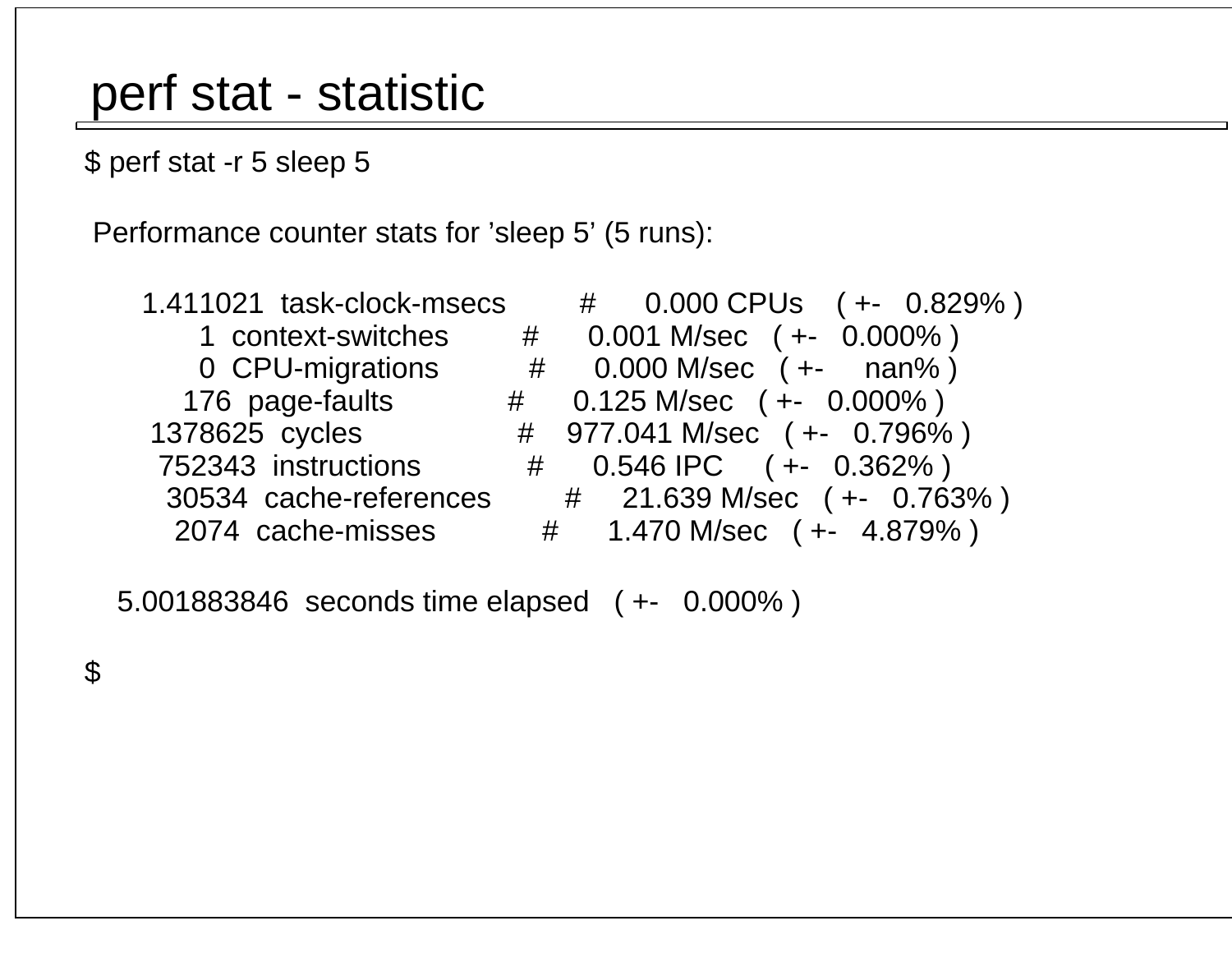### perf stat - statistic

\$ perf stat -r 5 sleep 5

Performance counter stats for 'sleep 5' (5 runs):

30534 cache-references #

 1.411021 task-clock-msecs # 0.000 CPUs ( +- 0.829% ) 1 context-switches # 0.001 M/sec ( +- 0.000% ) 0 CPU-migrations # 0.000 M/sec ( +- nan% ) 176 page-faults # 0.125 M/sec ( +- 0.000% ) 1378625 cycles # 977.041 M/sec ( +- 0.796% ) 752343 instructions # 0.546 IPC ( +- 0.362% )21.639 M/sec (+- 0.763%) 2074 cache-misses # 1.470 M/sec ( +- 4.879% )

5.001883846 seconds time elapsed ( +- 0.000% )

\$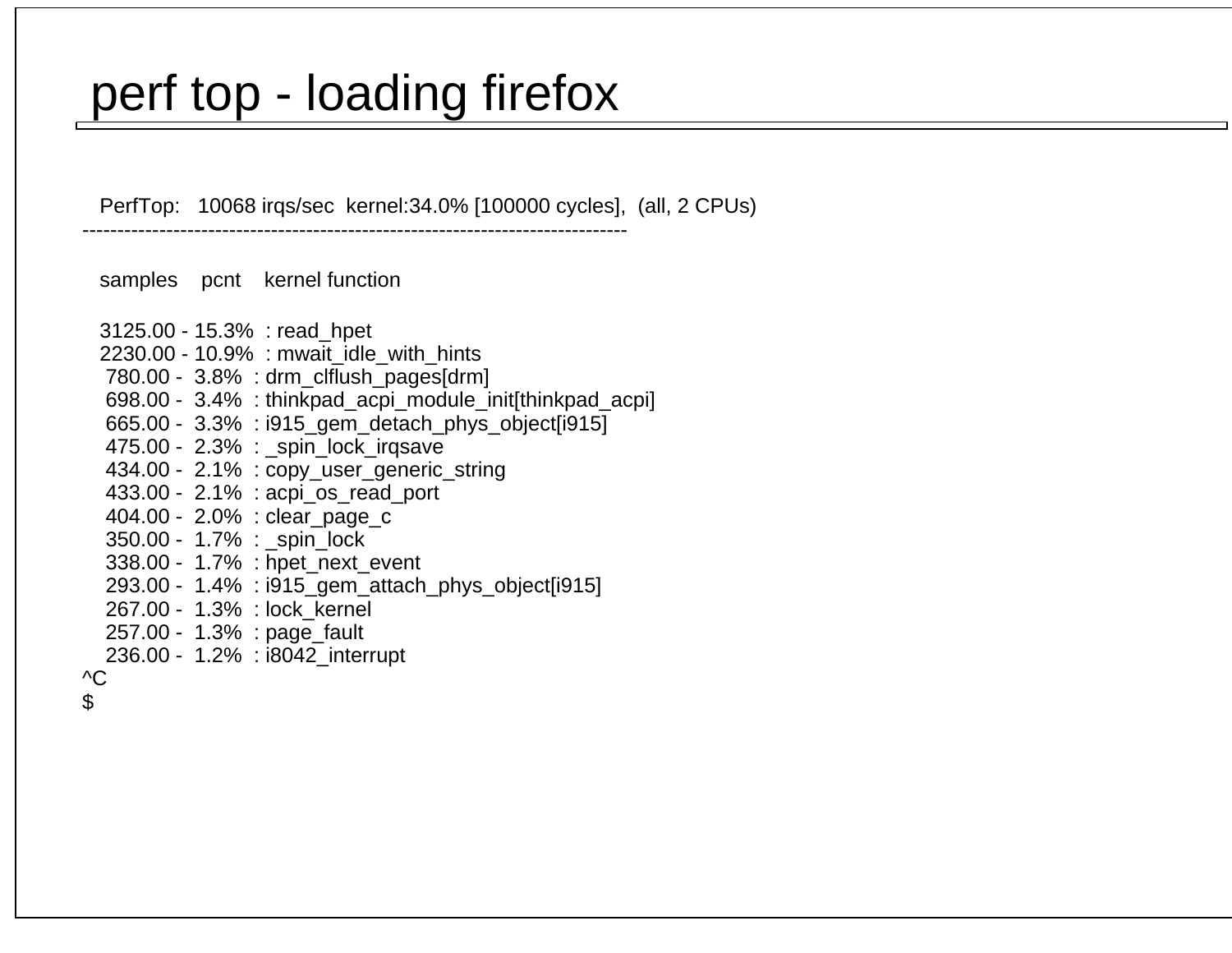### perf top - loading firefox

------------------------------------------------------------------------------

PerfTop: 10068 irqs/sec kernel:34.0% [100000 cycles], (all, 2 CPUs)

samples pcnt kernel function

 3125.00 - 15.3% : read\_hpet 2230.00 - 10.9% : mwait\_idle\_with\_hints 780.00 - 3.8% : drm\_clflush\_pages [drm]698.00 - 3.4% : thinkpad\_acpi\_module\_init [thinkpad\_acpi] 665.00 - 3.3% : i915\_gem\_detach\_phys\_object [i915] 475.00 - 2.3% : \_spin\_lock\_irqsave 434.00 - 2.1% : copy\_user\_generic\_string 433.00 - 2.1% : acpi\_os\_read\_port 404.00 - 2.0% : clear\_page\_c350.00 - 1.7% : spin lock 338.00 - 1.7% : hpet\_next\_event293.00 - 1.4% : i915\_gem\_attach\_phys\_object [i915] 267.00 - 1.3% : lock\_kernel 257.00 - 1.3% : page\_fault 236.00 - 1.2% : i8042\_interrupt^C

\$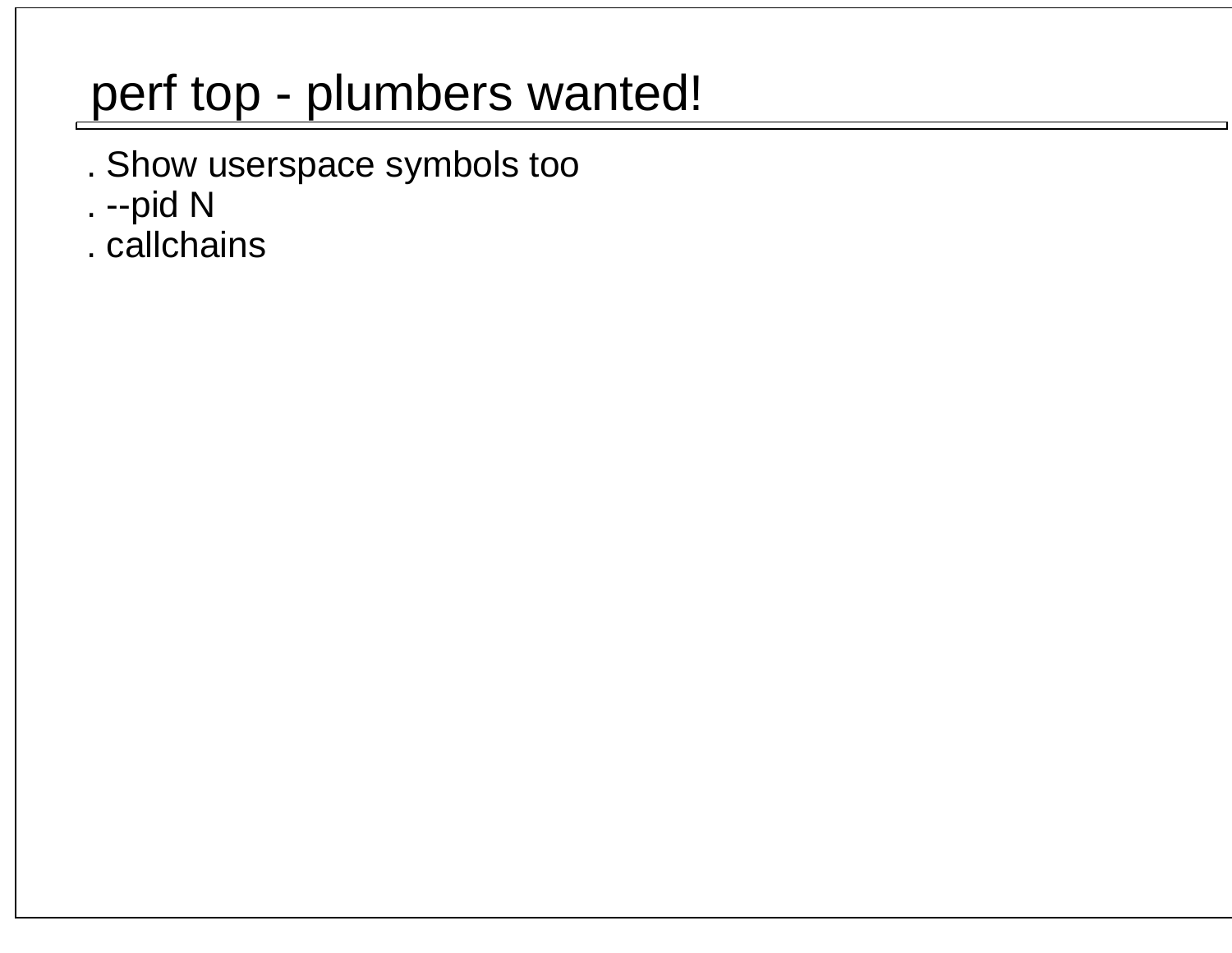## perf top - plumbers wanted!

- . Show userspace symbols too
- . --pid N
- . callchains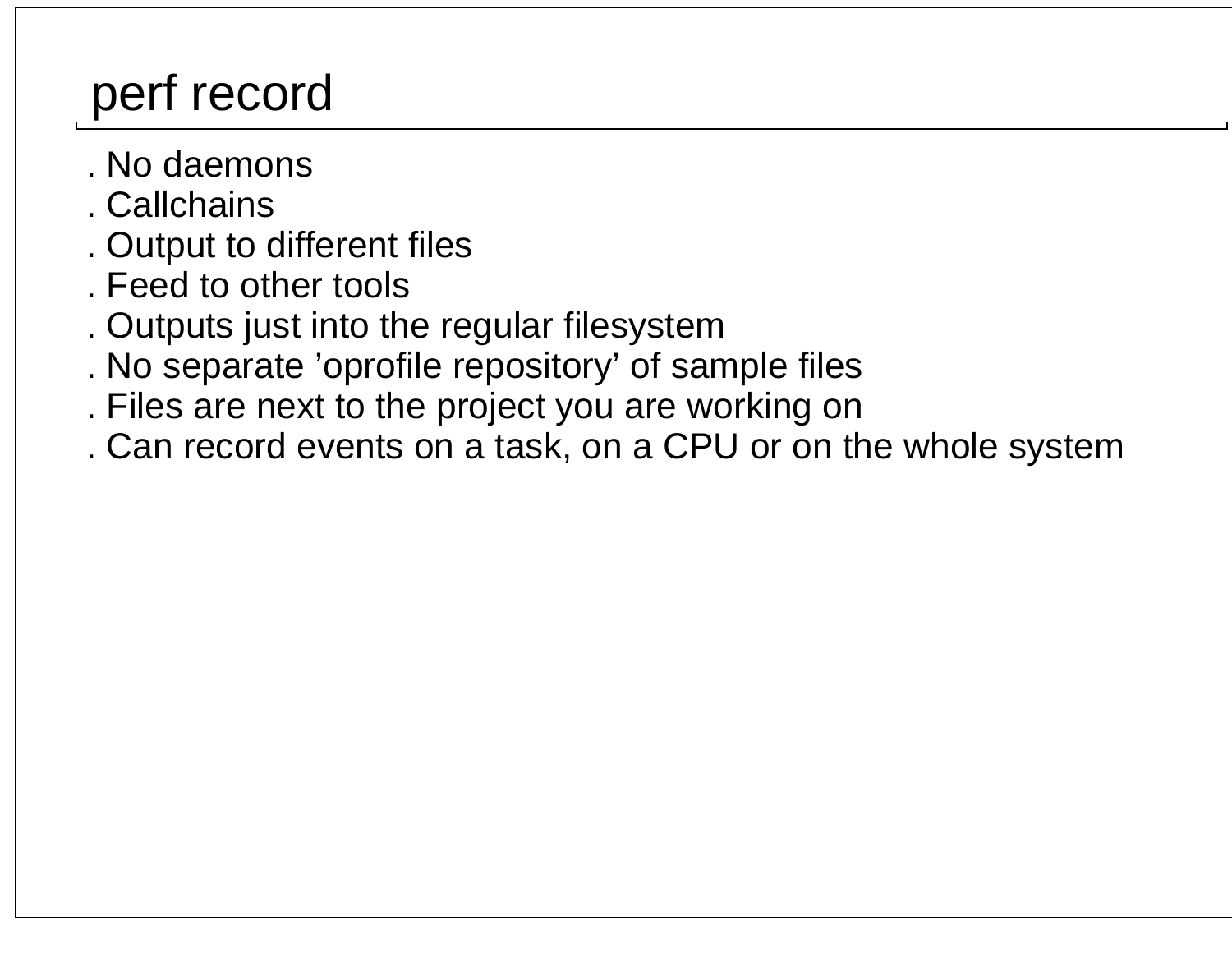## perf record

- . No daemons
- . Callchains
- . Output to different files
- . Feed to other tools
- . Outputs just into the regular filesystem
- . No separate 'oprofile repository' of sample files
- . Files are next to the project you are working on
- . Can record events on a task, on a CPU or on the whole system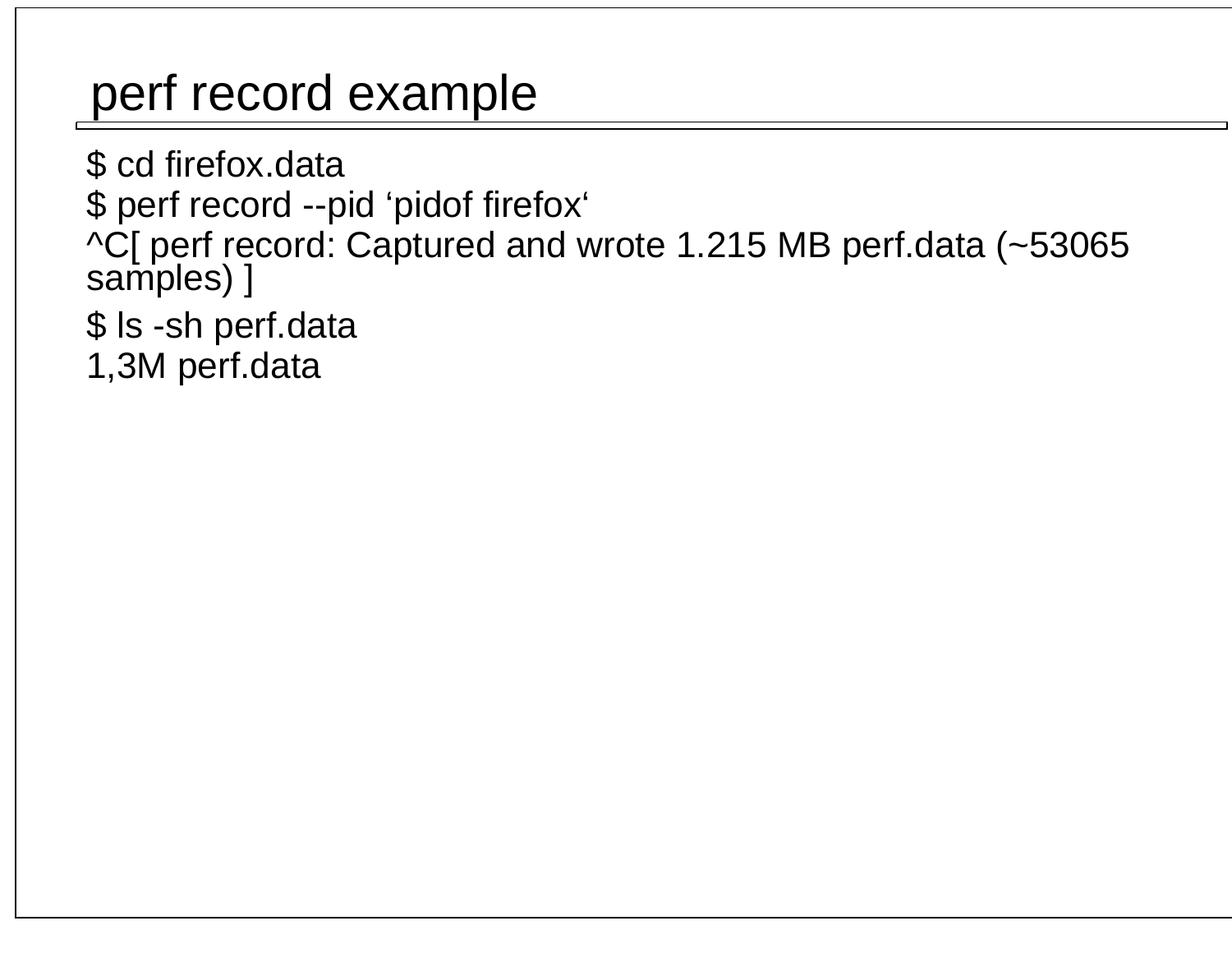## perf record example

 \$ cd firefox.data \$ perf record --pid 'pidof firefox'^C[ perf record: Captured and wrote 1.215 MB perf.data (~53065 samples) ] \$ ls -sh perf.data1,3M perf.data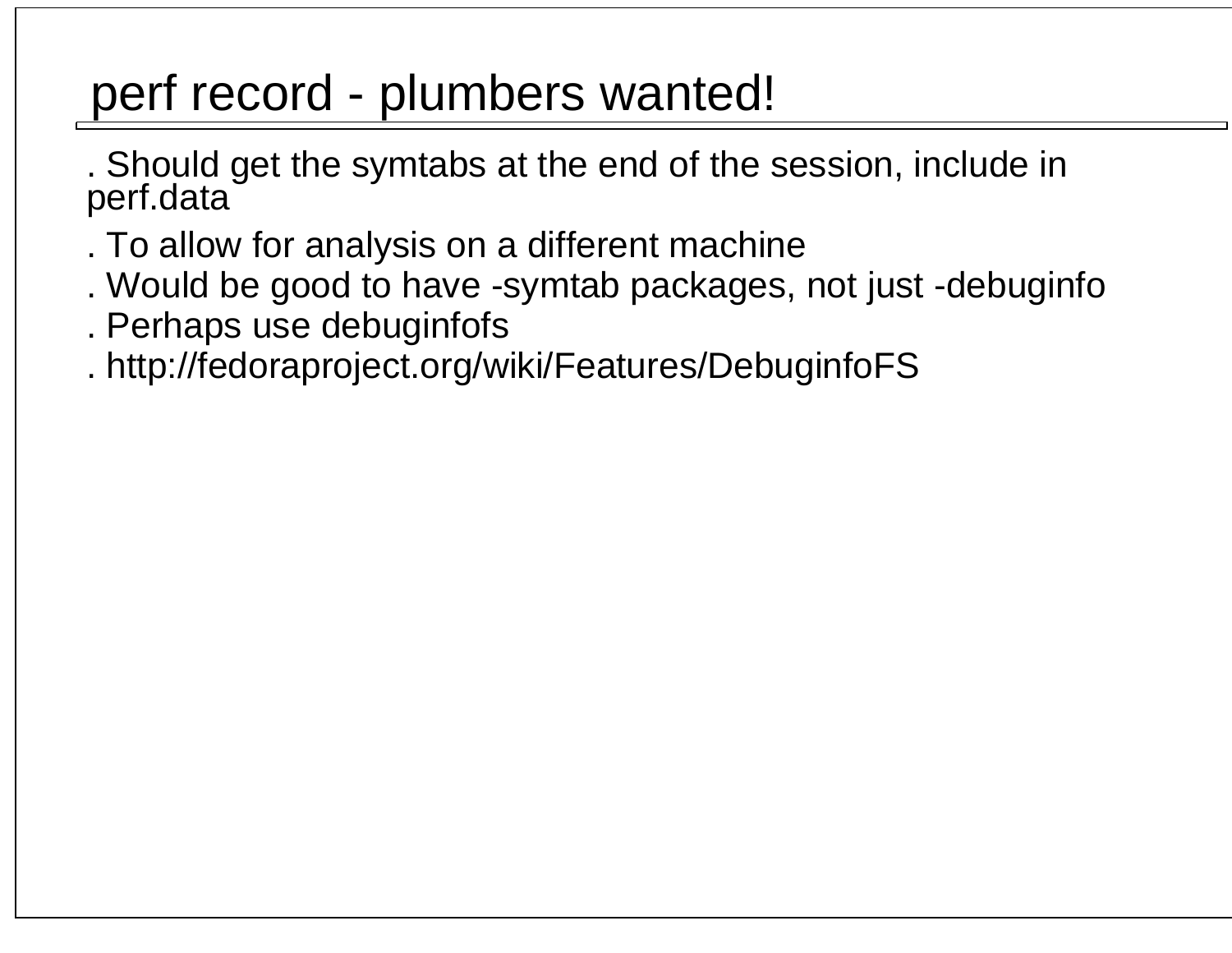### perf record - plumbers wanted!

. Should get the symtabs at the end of the session, include in perf.data

- . To allow for analysis on a different machine
- . Would be good to have -symtab packages, not just -debuginfo
- . Perhaps use debuginfofs
- . http://fedoraproject.org/wiki/Features/DebuginfoFS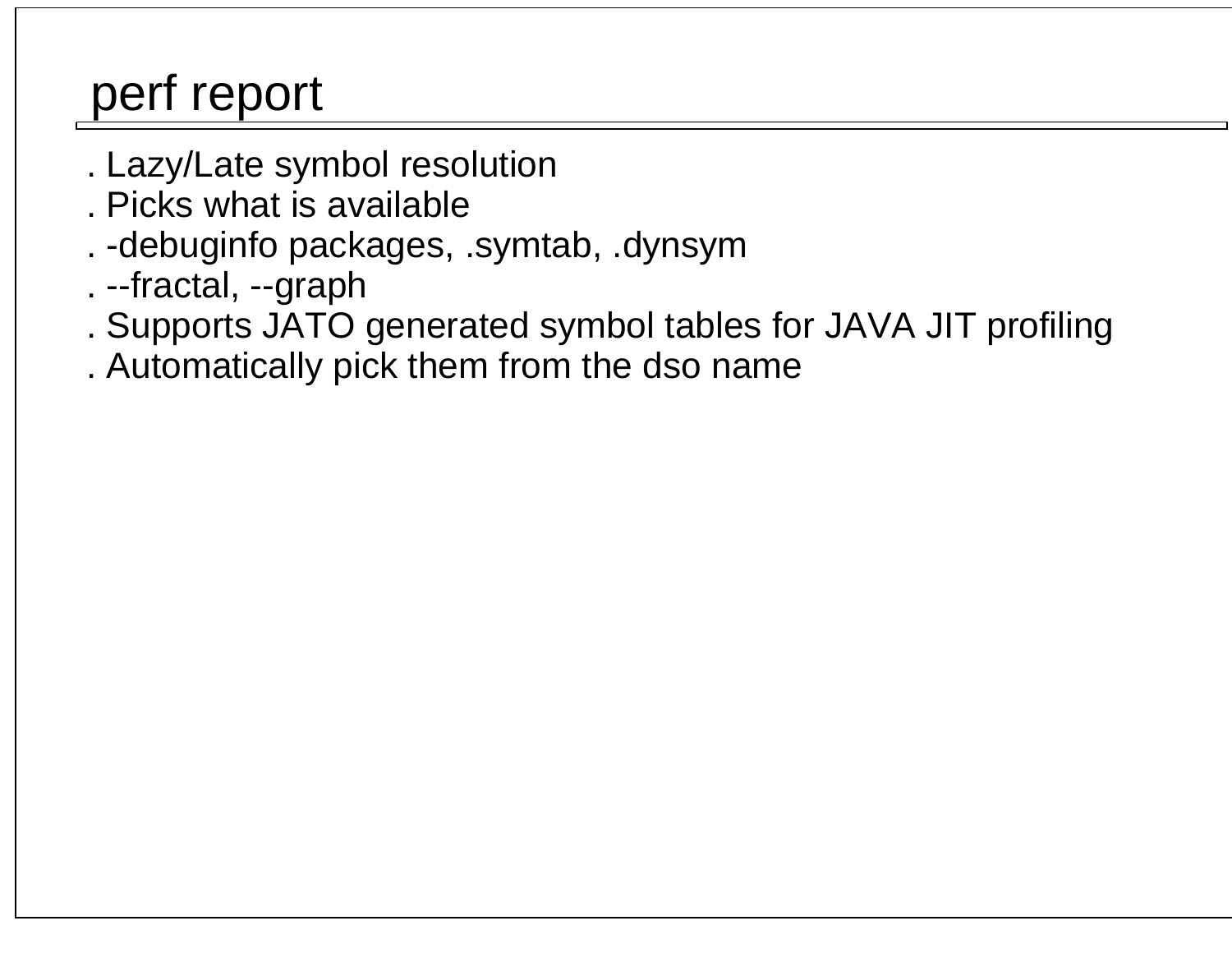## perf report

- . Lazy/Late symbol resolution
- . Picks what is available
- . -debuginfo packages, .symtab, .dynsym
- . --fractal, --graph
- . Supports JATO generated symbol tables for JAVA JIT profiling
- . Automatically pick them from the dso name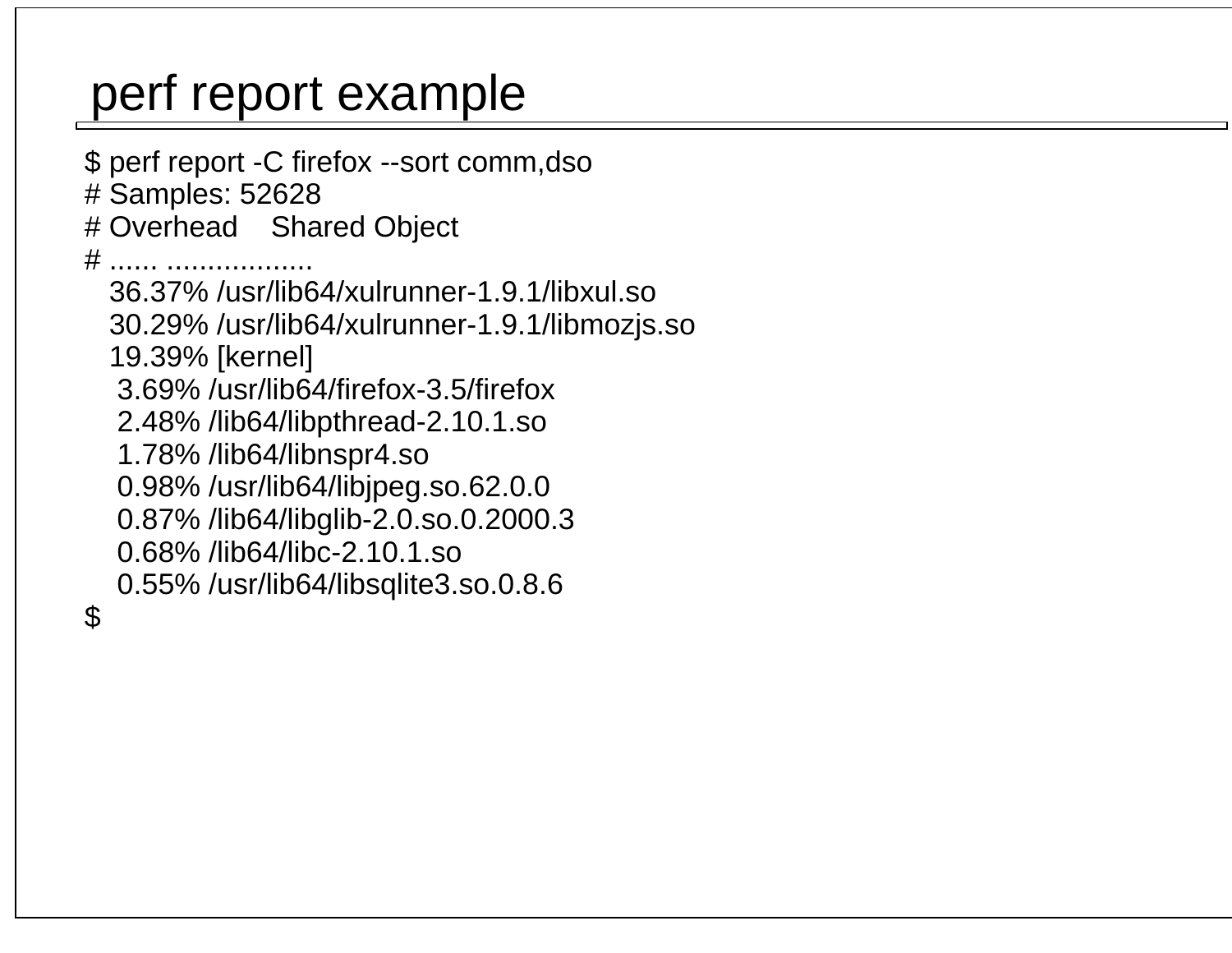## perf report example

 \$ perf report -C firefox --sort comm,dso # Samples: 52628 # Overhead Shared Object # ...... .................. 36.37% /usr/lib64/xulrunner-1.9.1/libxul.so 30.29% /usr/lib64/xulrunner-1.9.1/libmozjs.so 19.39% [kernel] 3.69% /usr/lib64/firefox-3.5/firefox 2.48% /lib64/libpthread-2.10.1.so 1.78% /lib64/libnspr4.so 0.98% /usr/lib64/libjpeg.so.62.0.0 0.87% /lib64/libglib-2.0.so.0.2000.3 0.68% /lib64/libc-2.10.1.so 0.55% /usr/lib64/libsqlite3.so.0.8.6 \$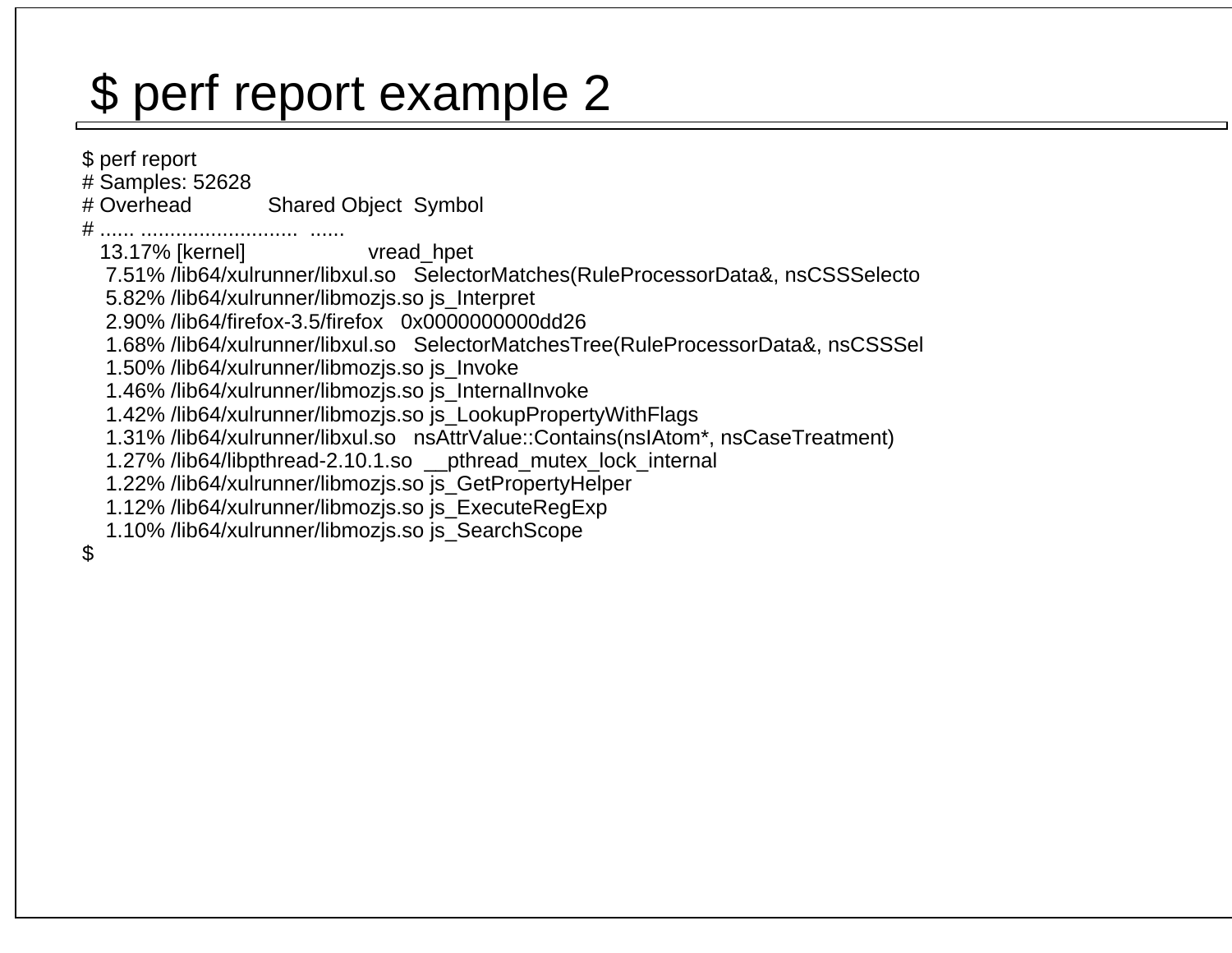## \$ perf report example 2

 \$ perf report # Samples: 52628# Overhead Shared Object Symbol # ...... ........................... ...... 13.17% [kernel] vread\_hpet 7.51% /lib64/xulrunner/libxul.so SelectorMatches(RuleProcessorData&, nsCSSSelecto 5.82% /lib64/xulrunner/libmozjs.so js\_Interpret 2.90% /lib64/firefox-3.5/firefox 0x0000000000dd26 1.68% /lib64/xulrunner/libxul.so SelectorMatchesTree(RuleProcessorData&, nsCSSSel 1.50% /lib64/xulrunner/libmozjs.so js\_Invoke 1.46% /lib64/xulrunner/libmozjs.so js\_InternalInvoke 1.42% /lib64/xulrunner/libmozjs.so js\_LookupPropertyWithFlags 1.31% /lib64/xulrunner/libxul.so nsAttrValue::Contains(nsIAtom\*, nsCaseTreatment) 1.27% /lib64/libpthread-2.10.1.so \_\_pthread\_mutex\_lock\_internal 1.22% /lib64/xulrunner/libmozjs.so js\_GetPropertyHelper 1.12% /lib64/xulrunner/libmozjs.so js\_ExecuteRegExp 1.10% /lib64/xulrunner/libmozjs.so js\_SearchScope\$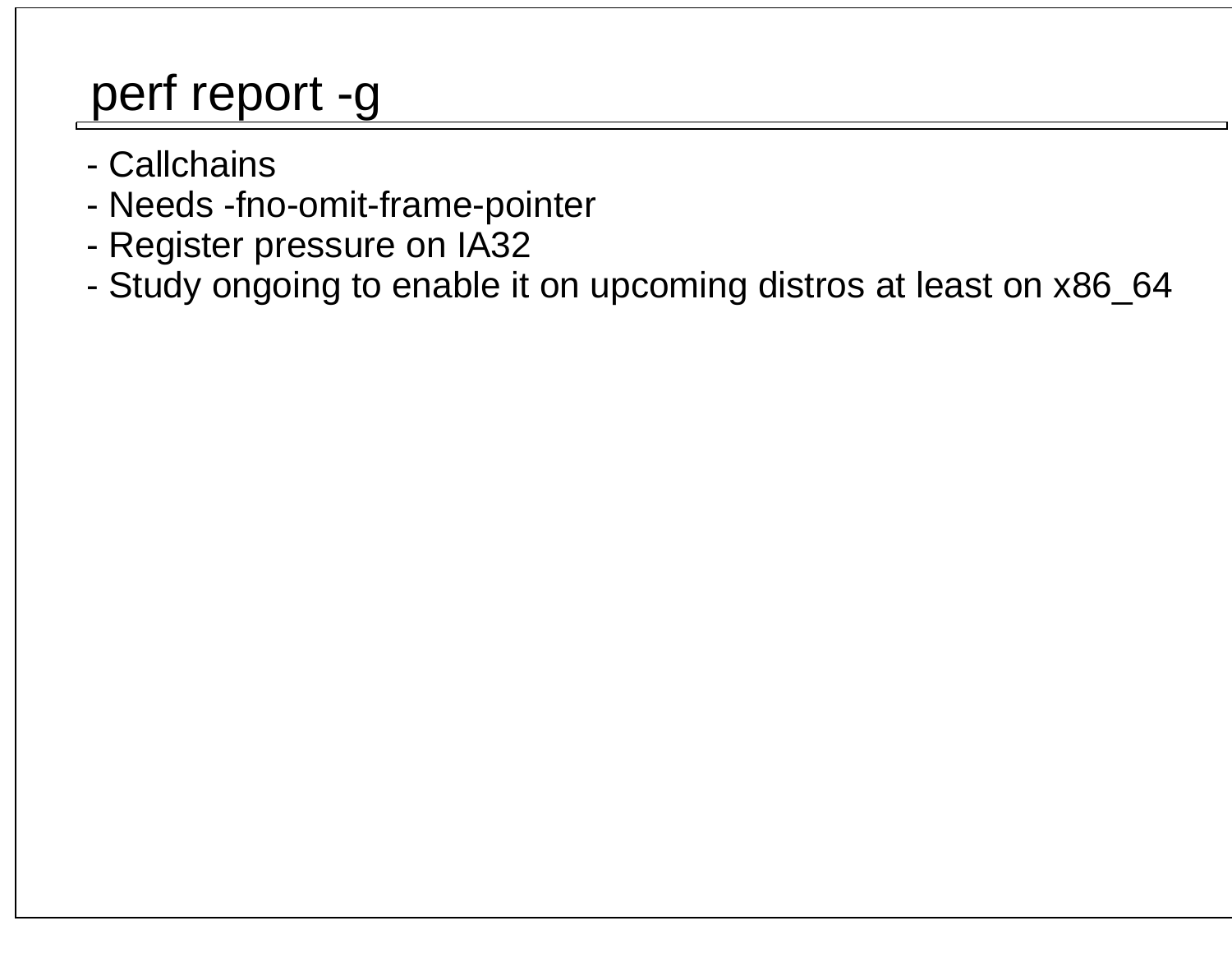## perf report -g

- Callchains
- Needs -fno-omit-frame-pointer
- Register pressure on IA32
- Study ongoing to enable it on upcoming distros at least on x86\_64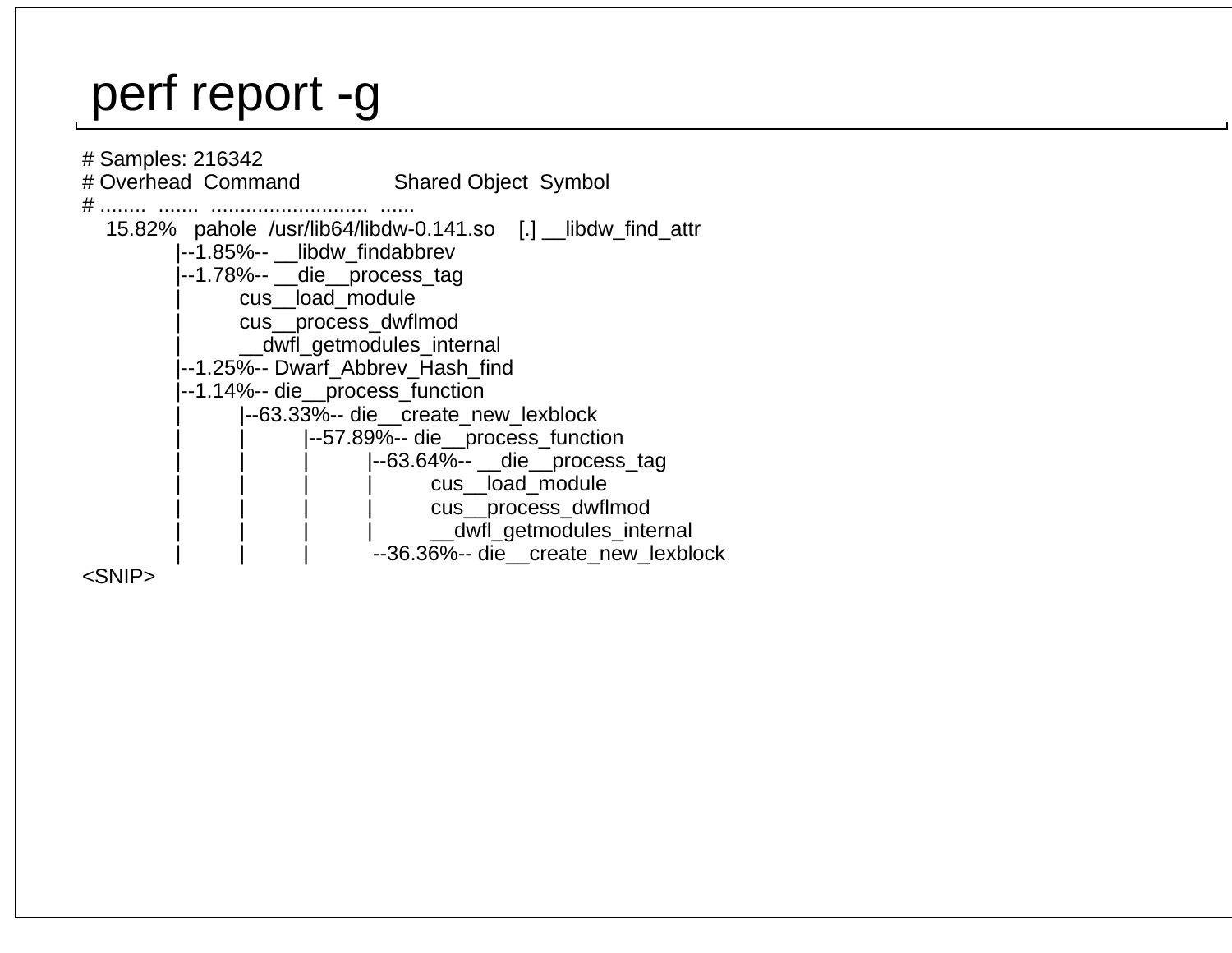### perf report -g



<SNIP>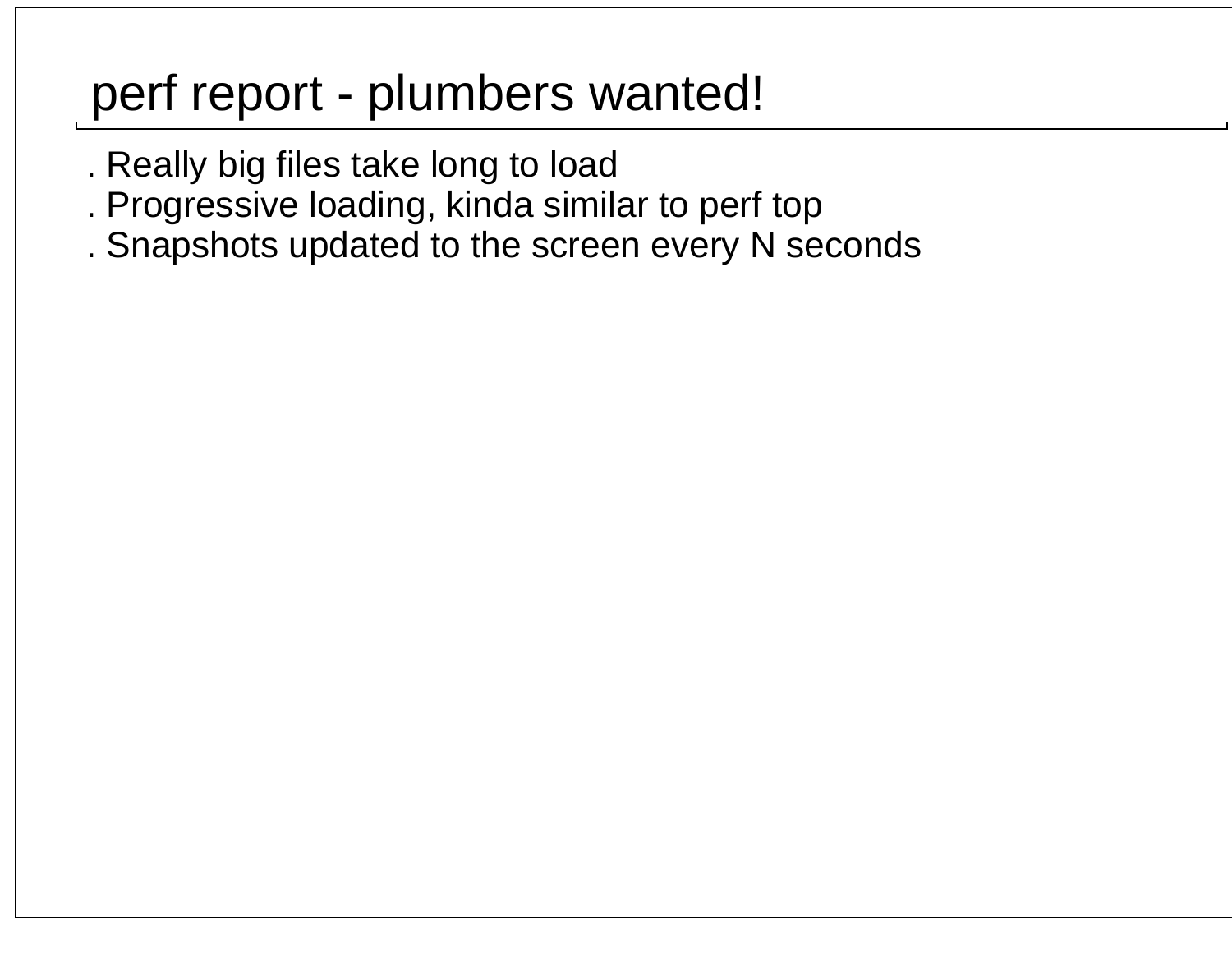### perf report - plumbers wanted!

- . Really big files take long to load
- . Progressive loading, kinda similar to perf top
- . Snapshots updated to the screen every N seconds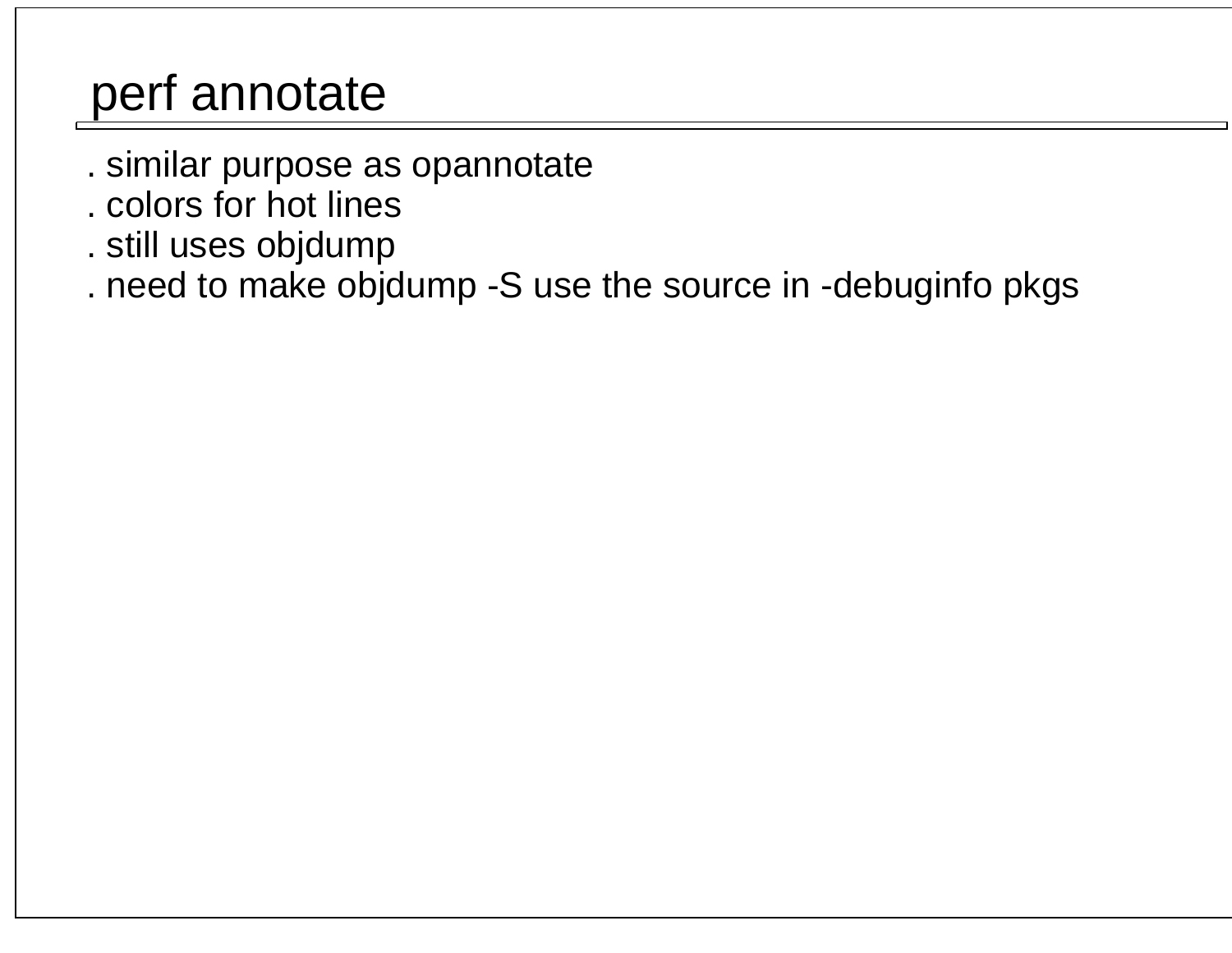## perf annotate

- . similar purpose as opannotate
- . colors for hot lines
- . still uses objdump
- . need to make objdump -S use the source in -debuginfo pkgs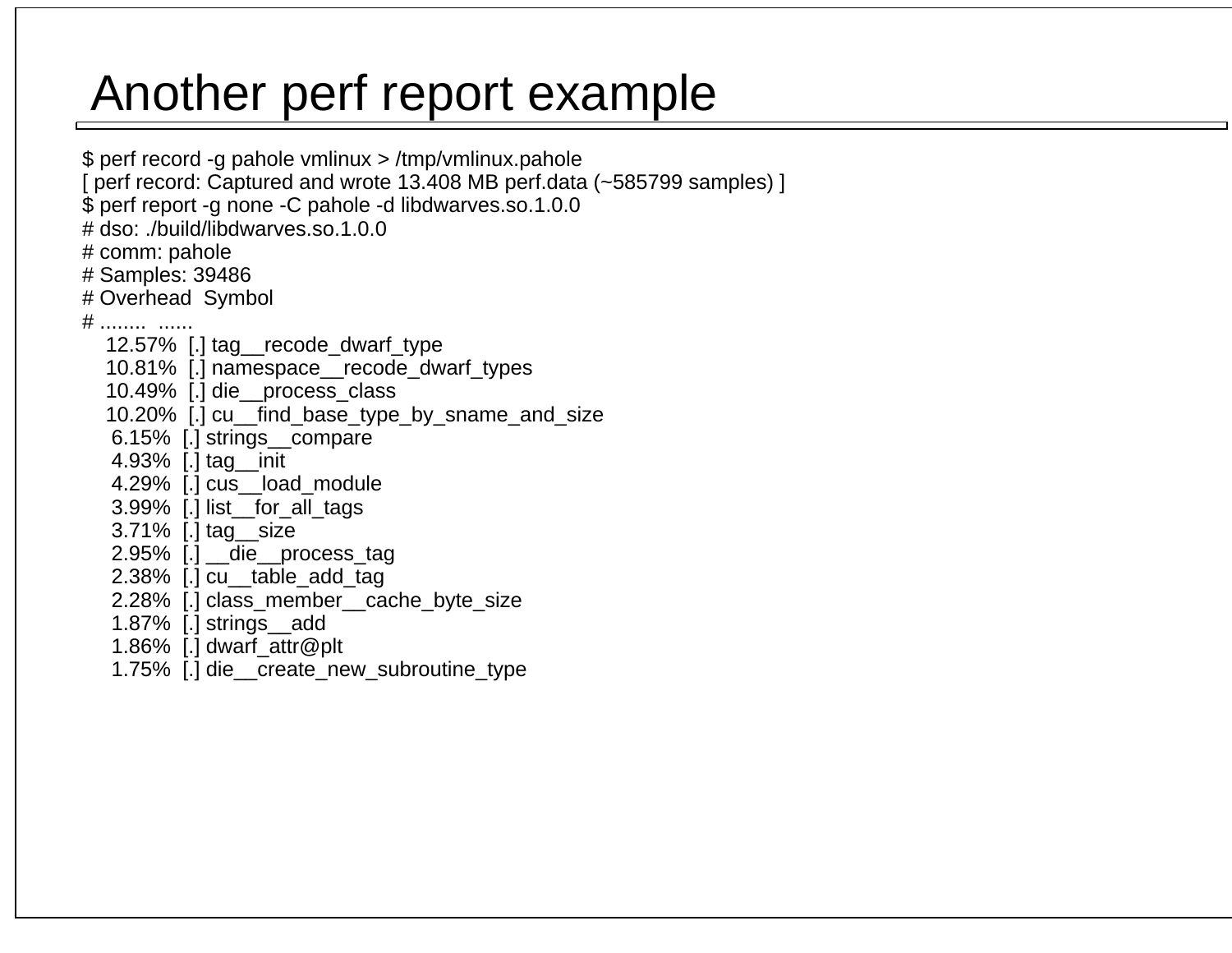## Another perf report example

 \$ perf record -g pahole vmlinux > /tmp/vmlinux.pahole [ perf record: Captured and wrote 13.408 MB perf.data (~585799 samples) ] \$ perf report -g none -C pahole -d libdwarves.so.1.0.0 # dso: ./build/libdwarves.so.1.0.0 # comm: pahole # Samples: 39486 # Overhead Symbol # ........ ...... 12.57% [.] tag\_\_recode\_dwarf\_type 10.81% [.] namespace\_\_recode\_dwarf\_types 10.49% [.] die\_\_process\_class 10.20% [.] cu\_\_find\_base\_type\_by\_sname\_and\_size 6.15% [.] strings\_\_compare 4.93% [.] tag\_\_init 4.29% [.] cus\_\_load\_module 3.99% [.] list\_\_for\_all\_tags 3.71% [.] tag\_\_size 2.95% [.] \_\_die\_\_process\_tag 2.38% [.] cu\_\_table\_add\_tag 2.28% [.] class\_member\_\_cache\_byte\_size 1.87% [.] strings\_\_add 1.86% [.] dwarf\_attr@plt1.75% [.] die\_\_create\_new\_subroutine\_type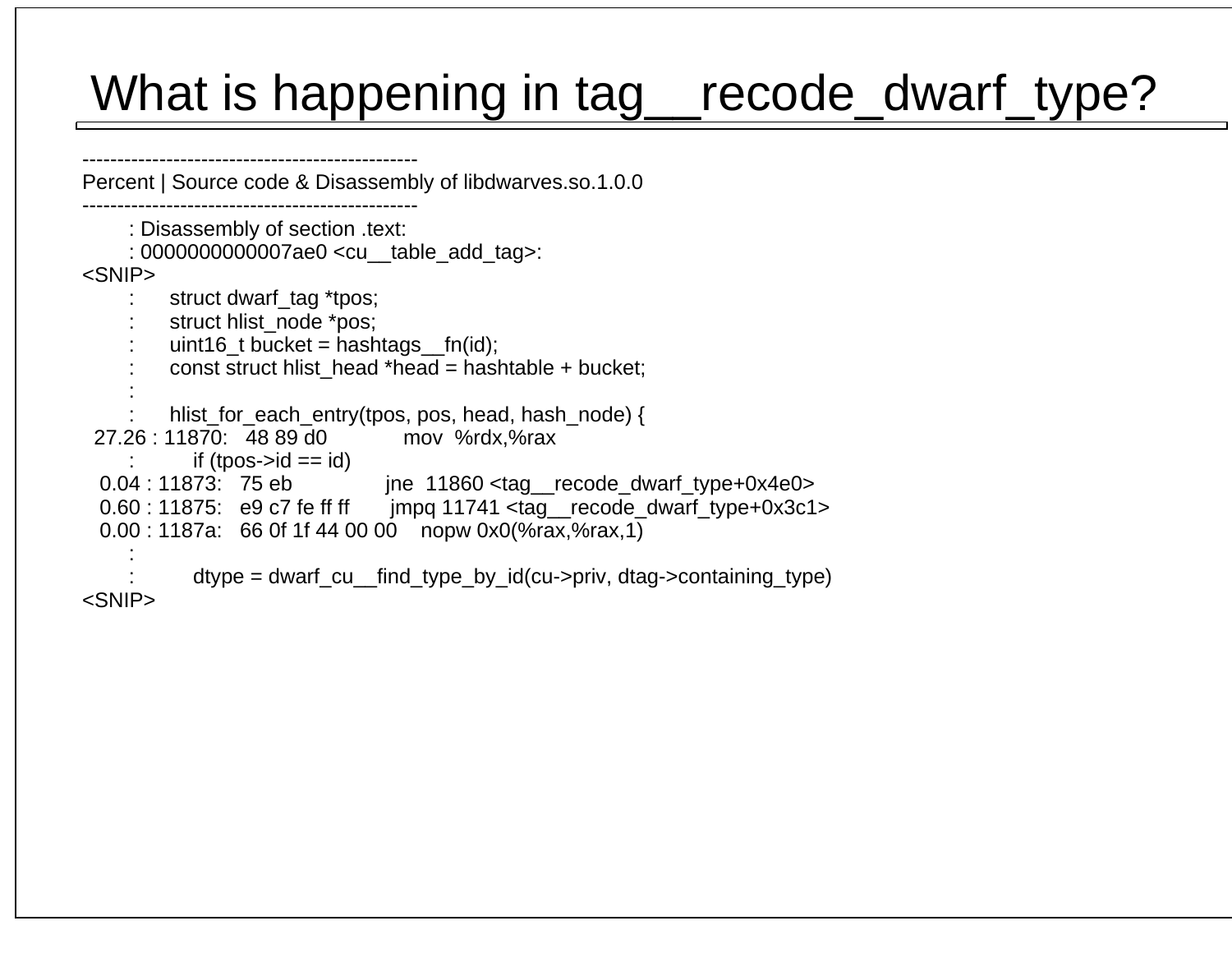## What is happening in tag\_recode\_dwarf\_type?

 ------------------------------------------------ Percent | Source code & Disassembly of libdwarves.so.1.0.0 ------------------------------------------------ : Disassembly of section .text: : 0000000000007ae0 <cu\_\_table\_add\_tag>: <SNIP> : struct dwarf\_tag \*tpos; : struct hlist\_node \*pos; : uint16\_t bucket = hashtags\_\_fn(id); : const struct hlist\_head \*head = hashtable + bucket; :hlist\_for\_each\_entry(tpos, pos, head, hash\_node) { 27.26 : 11870: 48 89 d0 mov %rdx,%raxif (tpos- $> id == id$ ) 0.04 : 11873: 75 eb jne 11860 <tag recode dwarf type+0x4e0> 0.60 : 11875: e9 c7 fe ff ff jmpq 11741 <tag\_\_recode\_dwarf\_type+0x3c1> 0.00 : 1187a: 66 0f 1f 44 00 00 nopw 0x0(%rax,%rax,1) : $dtvpe = dw$ arf cu find type by  $id(cu\rightarrow$ priv, dtag- $\rightarrow$ containing type) <SNIP>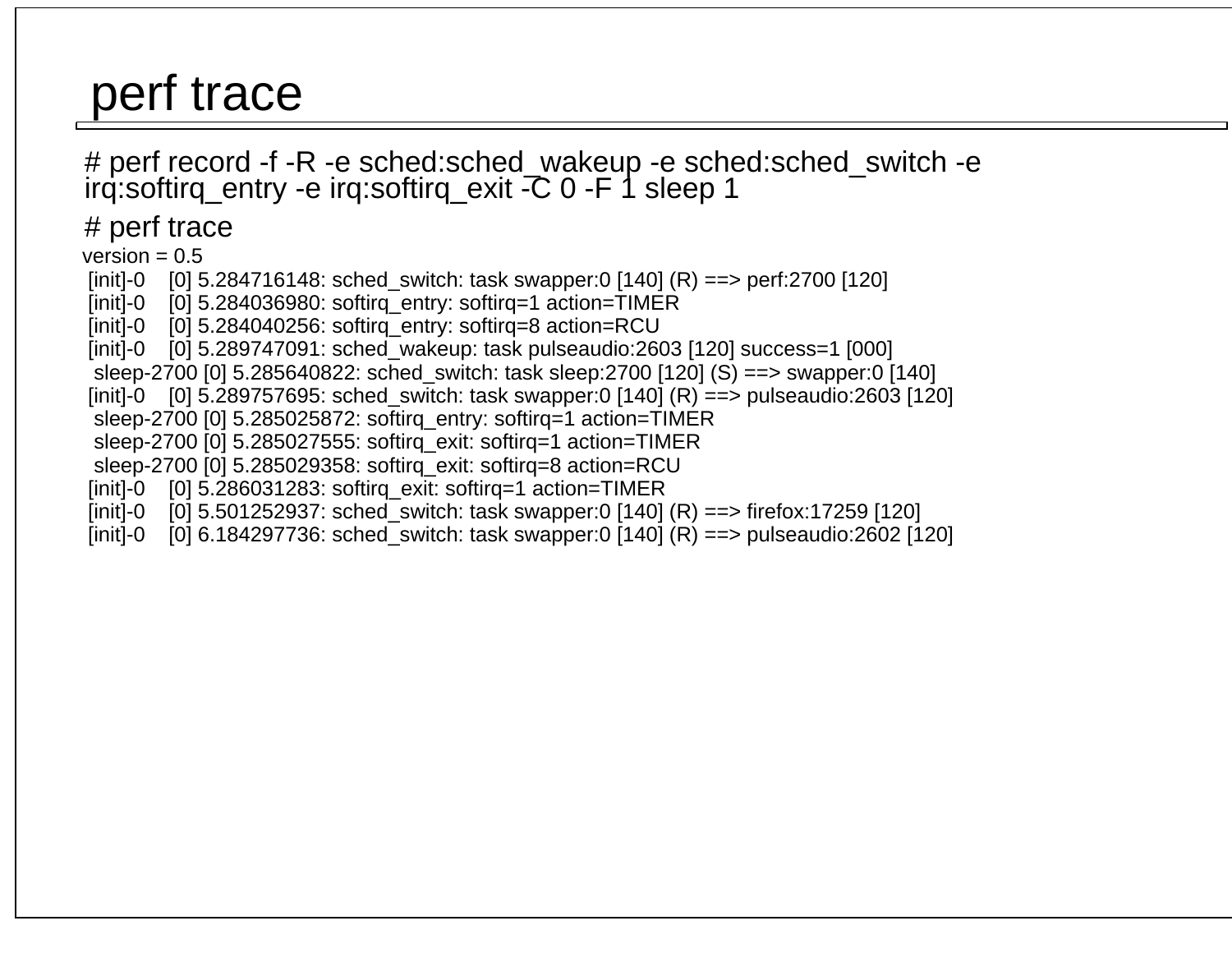### perf trace

# perf record -f -R -e sched:sched\_wakeup -e sched:sched\_switch -e irq:softirq\_entry -e irq:softirq\_exit -C 0 -F 1 sleep 1

# perf trace

 $version = 0.5$ 

 [init]-0 [0] 5.284716148: sched\_switch: task swapper:0 [140] (R) ==> perf:2700 [120] $[init]-0$  [0] 5.284036980: softirq\_entry: softirq=1 action=TIMER  $[init]$ -0  $[0]$  5.284040256: softirq\_entry: softirq=8 action=RCU [init]-0 [0] 5.289747091: sched\_wakeup: task pulseaudio:2603 [120] success=1 [000] sleep-2700 [0] 5.285640822: sched\_switch: task sleep:2700 [120] (S) ==> swapper:0 [140] [init]-0 [0] 5.289757695: sched\_switch: task swapper:0 [140] (R) ==> pulseaudio:2603 [120] sleep-2700 [0] 5.285025872: softirq\_entry: softirq=1 action=TIMER sleep-2700 [0] 5.285027555: softirq\_exit: softirq=1 action=TIMER sleep-2700 [0] 5.285029358: softirq\_exit: softirq=8 action=RCU [init]-0 [0] 5.286031283: softirq\_exit: softirq=1 action=TIMER [init]-0 [0] 5.501252937: sched\_switch: task swapper:0 [140] (R) ==> firefox:17259 [120][init]-0 [0] 6.184297736: sched\_switch: task swapper:0 [140] (R) ==> pulseaudio:2602 [120]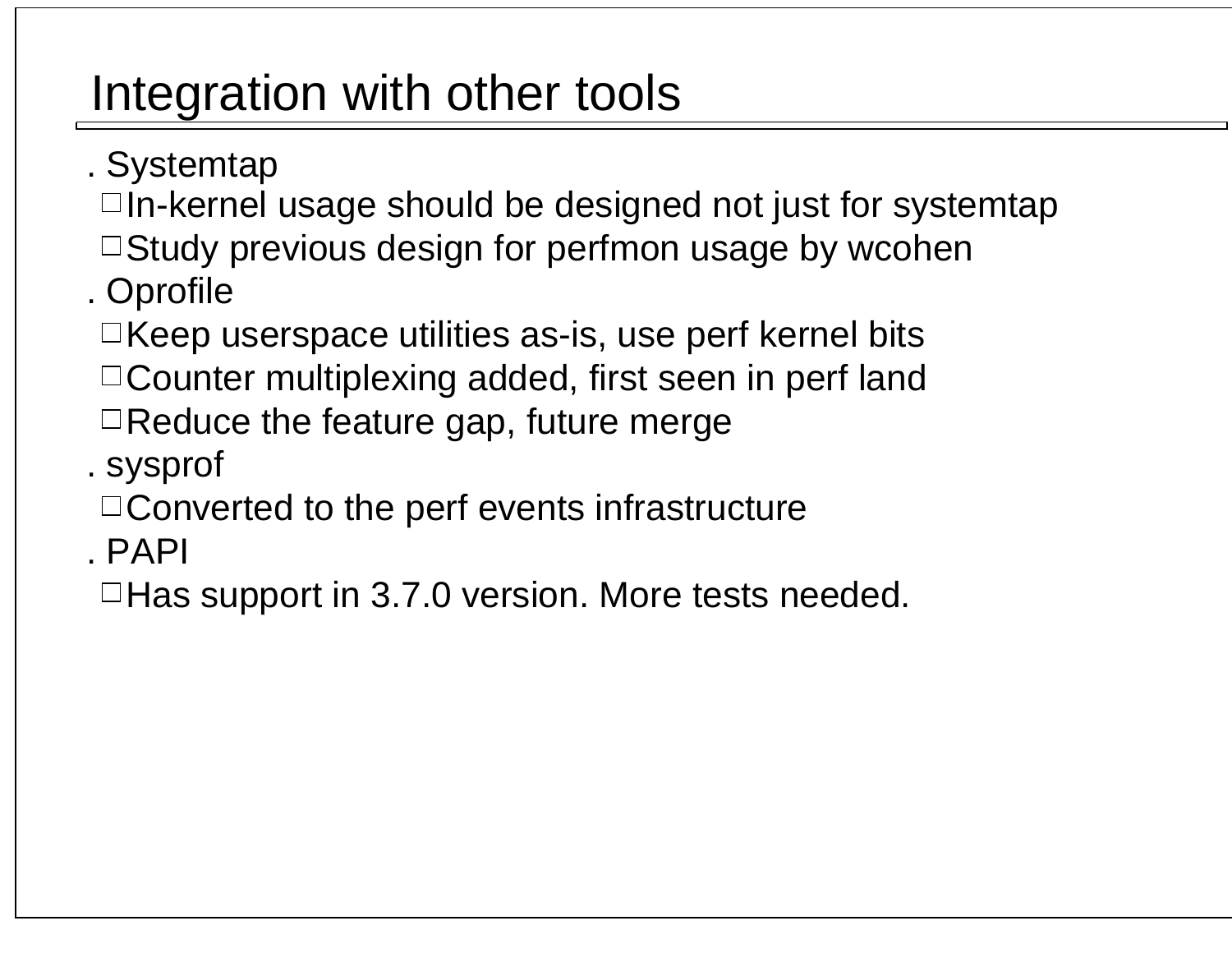## Integration with other tools

- . Systemtap
	- In-kernel usage should be designed not just for systemtap
- $\Box$ Study previous design for perfmon usage by wcohen . Oprofile
- Keep userspace utilities as-is, use perf kernel bits
- Counter multiplexing added, first seen in perf land
- $\Box$  Reduce the feature gap, future merge
- . sysprof
- $\Box$  Converted to the perf events infrastructure
- . PAPI
- $\Box$  Has support in 3.7.0 version. More tests needed.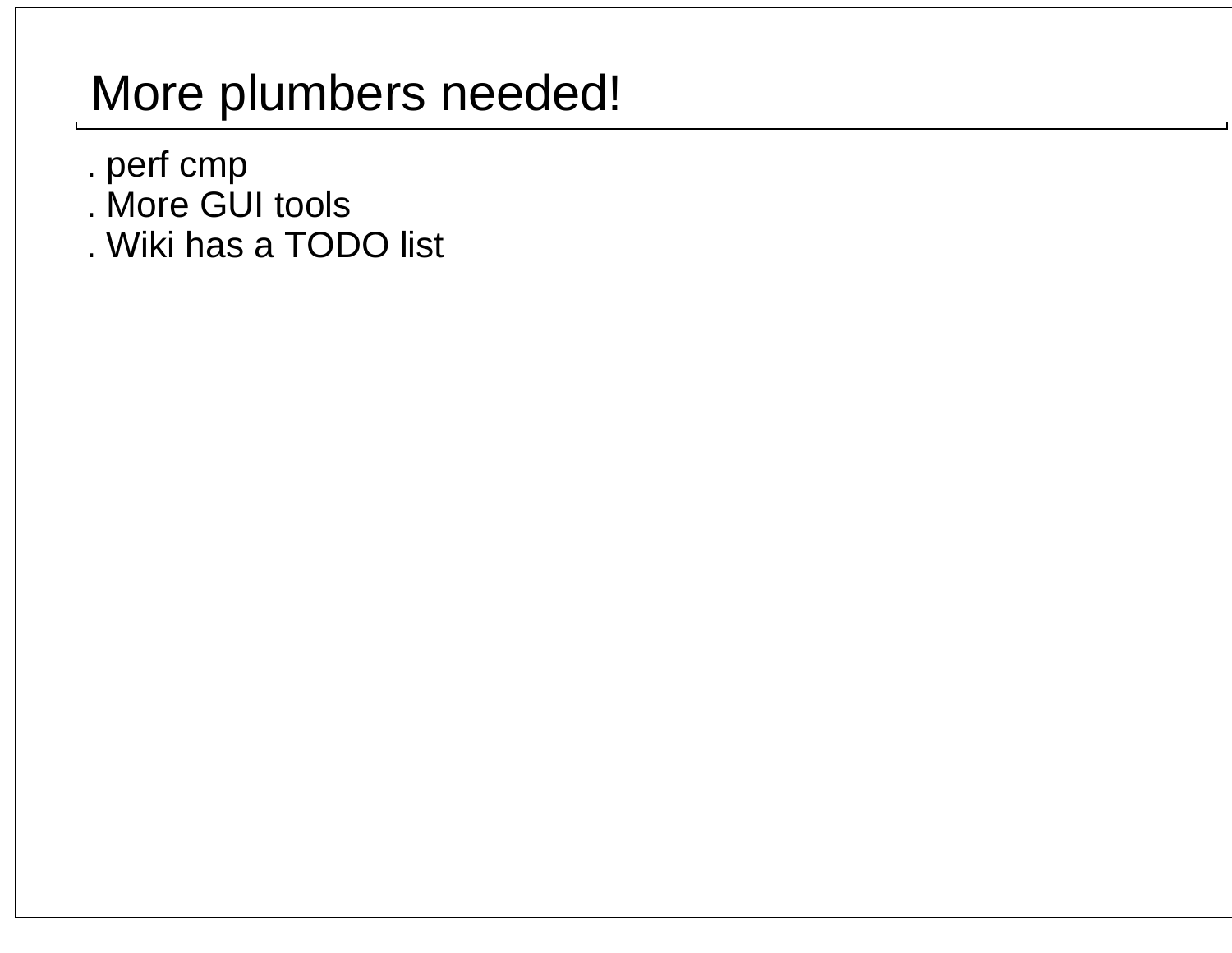## More plumbers needed!

- . perf cmp
- . More GUI tools
- . Wiki has a TODO list